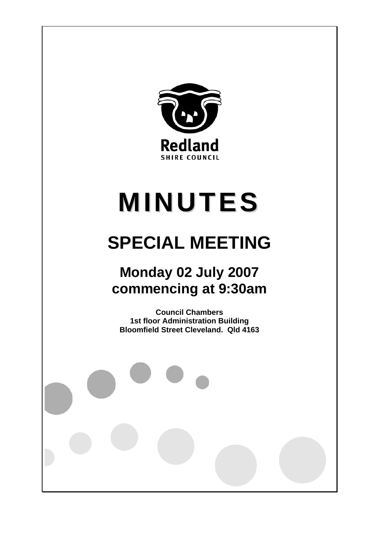

# **MINUTES**

# **SPECIAL MEETING**

# **Monday 02 July 2007 commencing at 9:30am**

**Council Chambers 1st floor Administration Building Bloomfield Street Cleveland. Qld 4163**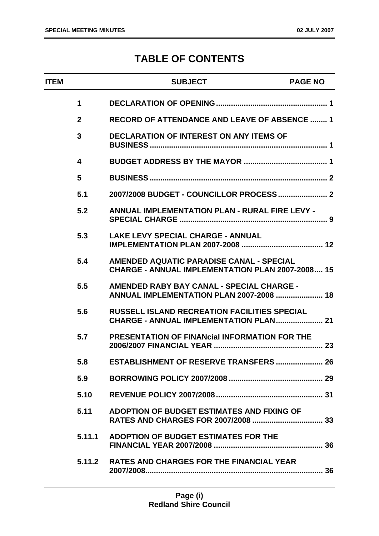# **TABLE OF CONTENTS**

| <b>ITEM</b> |                 | <b>SUBJECT</b>                                                                                             | <b>PAGE NO</b> |
|-------------|-----------------|------------------------------------------------------------------------------------------------------------|----------------|
|             | $\mathbf 1$     |                                                                                                            |                |
|             | $\overline{2}$  | <b>RECORD OF ATTENDANCE AND LEAVE OF ABSENCE  1</b>                                                        |                |
|             | 3               | <b>DECLARATION OF INTEREST ON ANY ITEMS OF</b>                                                             |                |
|             | 4               |                                                                                                            |                |
|             | $5\phantom{.0}$ |                                                                                                            |                |
|             | 5.1             |                                                                                                            |                |
|             | 5.2             | <b>ANNUAL IMPLEMENTATION PLAN - RURAL FIRE LEVY -</b>                                                      |                |
|             | 5.3             | <b>LAKE LEVY SPECIAL CHARGE - ANNUAL</b>                                                                   |                |
|             | 5.4             | <b>AMENDED AQUATIC PARADISE CANAL - SPECIAL</b><br><b>CHARGE - ANNUAL IMPLEMENTATION PLAN 2007-2008 15</b> |                |
|             | 5.5             | AMENDED RABY BAY CANAL - SPECIAL CHARGE -<br>ANNUAL IMPLEMENTATION PLAN 2007-2008  18                      |                |
|             | 5.6             | <b>RUSSELL ISLAND RECREATION FACILITIES SPECIAL</b>                                                        |                |
|             | 5.7             | <b>PRESENTATION OF FINANCIAL INFORMATION FOR THE</b>                                                       |                |
|             | 5.8             | ESTABLISHMENT OF RESERVE TRANSFERS  26                                                                     |                |
|             | 5.9             |                                                                                                            |                |
|             | 5.10            |                                                                                                            |                |
|             | 5.11            | ADOPTION OF BUDGET ESTIMATES AND FIXING OF                                                                 |                |
|             | 5.11.1          | ADOPTION OF BUDGET ESTIMATES FOR THE                                                                       |                |
|             |                 | 5.11.2 RATES AND CHARGES FOR THE FINANCIAL YEAR                                                            |                |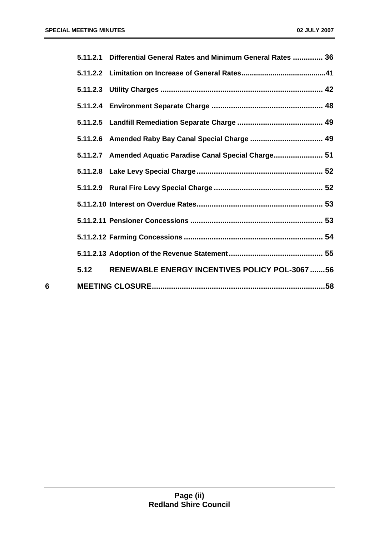|   |      | 5.11.2.1 Differential General Rates and Minimum General Rates  36 |  |
|---|------|-------------------------------------------------------------------|--|
|   |      |                                                                   |  |
|   |      |                                                                   |  |
|   |      |                                                                   |  |
|   |      |                                                                   |  |
|   |      | 5.11.2.6 Amended Raby Bay Canal Special Charge  49                |  |
|   |      | 5.11.2.7 Amended Aquatic Paradise Canal Special Charge 51         |  |
|   |      |                                                                   |  |
|   |      |                                                                   |  |
|   |      |                                                                   |  |
|   |      |                                                                   |  |
|   |      |                                                                   |  |
|   |      |                                                                   |  |
|   | 5.12 | RENEWABLE ENERGY INCENTIVES POLICY POL-3067 56                    |  |
| 6 |      |                                                                   |  |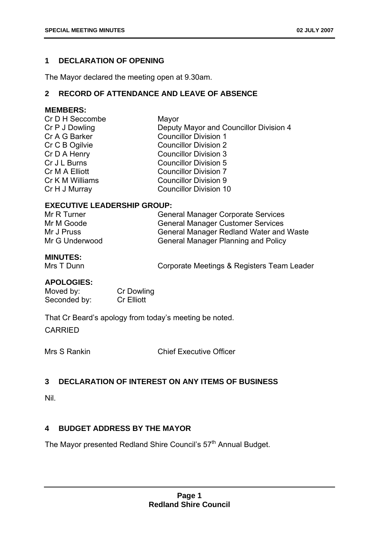# **1 DECLARATION OF OPENING**

The Mayor declared the meeting open at 9.30am.

# **2 RECORD OF ATTENDANCE AND LEAVE OF ABSENCE**

# **MEMBERS:**

| Cr D H Seccombe | Mayor                                  |
|-----------------|----------------------------------------|
| Cr P J Dowling  | Deputy Mayor and Councillor Division 4 |
| Cr A G Barker   | <b>Councillor Division 1</b>           |
| Cr C B Ogilvie  | <b>Councillor Division 2</b>           |
| Cr D A Henry    | <b>Councillor Division 3</b>           |
| Cr J L Burns    | <b>Councillor Division 5</b>           |
| Cr M A Elliott  | <b>Councillor Division 7</b>           |
| Cr K M Williams | <b>Councillor Division 9</b>           |
| Cr H J Murray   | <b>Councillor Division 10</b>          |
|                 |                                        |

# **EXECUTIVE LEADERSHIP GROUP:**

| Mr R Turner    | <b>General Manager Corporate Services</b>  |
|----------------|--------------------------------------------|
| Mr M Goode     | <b>General Manager Customer Services</b>   |
| Mr J Pruss     | General Manager Redland Water and Waste    |
| Mr G Underwood | <b>General Manager Planning and Policy</b> |

# **MINUTES:**

Mrs T Dunn **Corporate Meetings & Registers Team Leader** 

# **APOLOGIES:**

Moved by: Cr Dowling Seconded by: Cr Elliott

That Cr Beard's apology from today's meeting be noted.

CARRIED

Mrs S Rankin Chief Executive Officer

# **3 DECLARATION OF INTEREST ON ANY ITEMS OF BUSINESS**

Nil.

# **4 BUDGET ADDRESS BY THE MAYOR**

The Mayor presented Redland Shire Council's 57<sup>th</sup> Annual Budget.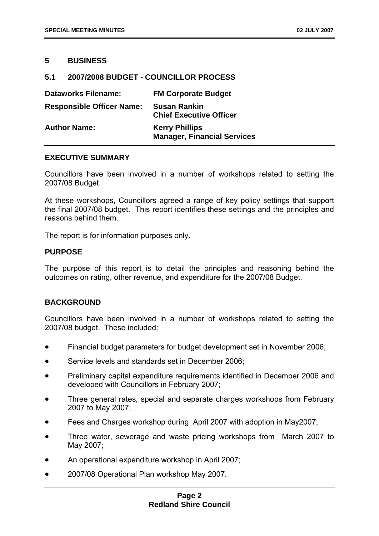# **5 BUSINESS**

# **5.1 2007/2008 BUDGET - COUNCILLOR PROCESS**

| <b>Dataworks Filename:</b>       | <b>FM Corporate Budget</b>                                  |
|----------------------------------|-------------------------------------------------------------|
| <b>Responsible Officer Name:</b> | <b>Susan Rankin</b><br><b>Chief Executive Officer</b>       |
| <b>Author Name:</b>              | <b>Kerry Phillips</b><br><b>Manager, Financial Services</b> |

# **EXECUTIVE SUMMARY**

Councillors have been involved in a number of workshops related to setting the 2007/08 Budget.

At these workshops, Councillors agreed a range of key policy settings that support the final 2007/08 budget. This report identifies these settings and the principles and reasons behind them.

The report is for information purposes only.

#### **PURPOSE**

The purpose of this report is to detail the principles and reasoning behind the outcomes on rating, other revenue, and expenditure for the 2007/08 Budget.

# **BACKGROUND**

Councillors have been involved in a number of workshops related to setting the 2007/08 budget. These included:

- Financial budget parameters for budget development set in November 2006;
- Service levels and standards set in December 2006;
- Preliminary capital expenditure requirements identified in December 2006 and developed with Councillors in February 2007;
- Three general rates, special and separate charges workshops from February 2007 to May 2007;
- Fees and Charges workshop during April 2007 with adoption in May2007;
- Three water, sewerage and waste pricing workshops from March 2007 to May 2007;
- An operational expenditure workshop in April 2007;
- 2007/08 Operational Plan workshop May 2007.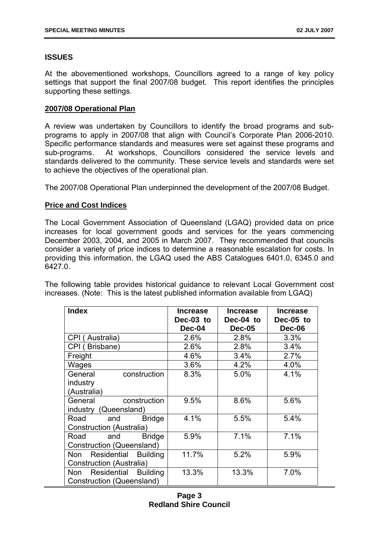# **ISSUES**

At the abovementioned workshops, Councillors agreed to a range of key policy settings that support the final 2007/08 budget. This report identifies the principles supporting these settings.

# **2007/08 Operational Plan**

A review was undertaken by Councillors to identify the broad programs and subprograms to apply in 2007/08 that align with Council's Corporate Plan 2006-2010. Specific performance standards and measures were set against these programs and sub-programs. At workshops, Councillors considered the service levels and standards delivered to the community. These service levels and standards were set to achieve the objectives of the operational plan.

The 2007/08 Operational Plan underpinned the development of the 2007/08 Budget.

# **Price and Cost Indices**

The Local Government Association of Queensland (LGAQ) provided data on price increases for local government goods and services for the years commencing December 2003, 2004, and 2005 in March 2007. They recommended that councils consider a variety of price indices to determine a reasonable escalation for costs. In providing this information, the LGAQ used the ABS Catalogues 6401.0, 6345.0 and 6427.0.

The following table provides historical guidance to relevant Local Government cost increases. (Note: This is the latest published information available from LGAQ)

| <b>Index</b>                          | <b>Increase</b> | <b>Increase</b> | <b>Increase</b> |
|---------------------------------------|-----------------|-----------------|-----------------|
|                                       | Dec-03 to       | Dec-04 to       | Dec-05 to       |
|                                       | Dec-04          | <b>Dec-05</b>   | <b>Dec-06</b>   |
| CPI (Australia)                       | 2.6%            | 2.8%            | 3.3%            |
| CPI (Brisbane)                        | 2.6%            | 2.8%            | 3.4%            |
| Freight                               | 4.6%            | 3.4%            | 2.7%            |
| Wages                                 | 3.6%            | 4.2%            | 4.0%            |
| construction<br>General               | 8.3%            | 5.0%            | 4.1%            |
| industry                              |                 |                 |                 |
| (Australia)                           |                 |                 |                 |
| construction<br>General               | 9.5%            | 8.6%            | 5.6%            |
| industry (Queensland)                 |                 |                 |                 |
| Road<br><b>Bridge</b><br>and          | 4.1%            | 5.5%            | 5.4%            |
| <b>Construction (Australia)</b>       |                 |                 |                 |
| <b>Bridge</b><br>Road<br>and          | 5.9%            | 7.1%            | 7.1%            |
| Construction (Queensland)             |                 |                 |                 |
| Residential<br><b>Building</b><br>Non | 11.7%           | 5.2%            | 5.9%            |
| Construction (Australia)              |                 |                 |                 |
| Residential Building<br>Non           | 13.3%           | 13.3%           | 7.0%            |
| Construction (Queensland)             |                 |                 |                 |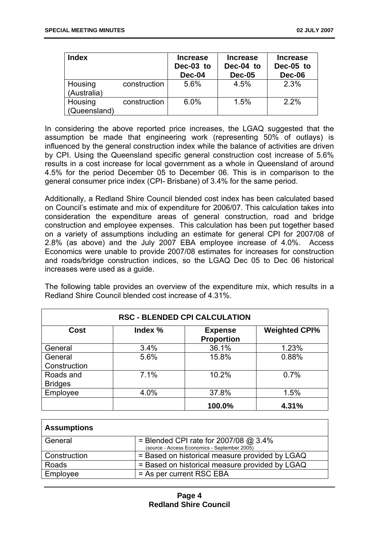| <b>Index</b>            |              | <b>Increase</b><br>Dec-03 to<br>Dec-04 | <b>Increase</b><br>Dec-04 to<br><b>Dec-05</b> | <b>Increase</b><br>Dec-05 to<br>Dec-06 |
|-------------------------|--------------|----------------------------------------|-----------------------------------------------|----------------------------------------|
| Housing<br>(Australia)  | construction | 5.6%                                   | 4.5%                                          | 2.3%                                   |
| Housing<br>(Queensland) | construction | 6.0%                                   | 1.5%                                          | 2.2%                                   |

In considering the above reported price increases, the LGAQ suggested that the assumption be made that engineering work (representing 50% of outlays) is influenced by the general construction index while the balance of activities are driven by CPI. Using the Queensland specific general construction cost increase of 5.6% results in a cost increase for local government as a whole in Queensland of around 4.5% for the period December 05 to December 06. This is in comparison to the general consumer price index (CPI- Brisbane) of 3.4% for the same period.

Additionally, a Redland Shire Council blended cost index has been calculated based on Council's estimate and mix of expenditure for 2006/07. This calculation takes into consideration the expenditure areas of general construction, road and bridge construction and employee expenses. This calculation has been put together based on a variety of assumptions including an estimate for general CPI for 2007/08 of 2.8% (as above) and the July 2007 EBA employee increase of 4.0%. Access Economics were unable to provide 2007/08 estimates for increases for construction and roads/bridge construction indices, so the LGAQ Dec 05 to Dec 06 historical increases were used as a guide.

The following table provides an overview of the expenditure mix, which results in a Redland Shire Council blended cost increase of 4.31%.

| <b>RSC - BLENDED CPI CALCULATION</b> |         |                                     |                      |
|--------------------------------------|---------|-------------------------------------|----------------------|
| <b>Cost</b>                          | Index % | <b>Expense</b><br><b>Proportion</b> | <b>Weighted CPI%</b> |
| General                              | 3.4%    | 36.1%                               | 1.23%                |
| General<br>Construction              | 5.6%    | 15.8%                               | 0.88%                |
| Roads and<br><b>Bridges</b>          | 7.1%    | 10.2%                               | 0.7%                 |
| Employee                             | 4.0%    | 37.8%                               | 1.5%                 |
|                                      |         | 100.0%                              | 4.31%                |

| <b>Assumptions</b> |                                                                                         |
|--------------------|-----------------------------------------------------------------------------------------|
| General            | = Blended CPI rate for $2007/08$ @ 3.4%<br>(source - Access Economics - September 2005) |
| Construction       | = Based on historical measure provided by LGAQ                                          |
| Roads              | = Based on historical measure provided by LGAQ                                          |
| Employee           | = As per current RSC EBA                                                                |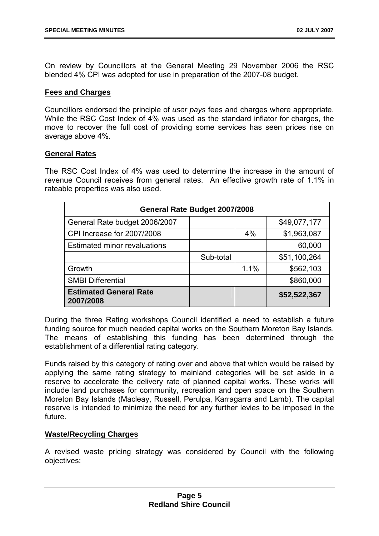On review by Councillors at the General Meeting 29 November 2006 the RSC blended 4% CPI was adopted for use in preparation of the 2007-08 budget.

# **Fees and Charges**

Councillors endorsed the principle of *user pays* fees and charges where appropriate. While the RSC Cost Index of 4% was used as the standard inflator for charges, the move to recover the full cost of providing some services has seen prices rise on average above 4%.

# **General Rates**

The RSC Cost Index of 4% was used to determine the increase in the amount of revenue Council receives from general rates. An effective growth rate of 1.1% in rateable properties was also used.

| General Rate Budget 2007/2008              |           |      |              |
|--------------------------------------------|-----------|------|--------------|
| General Rate budget 2006/2007              |           |      | \$49,077,177 |
| CPI Increase for 2007/2008                 |           | 4%   | \$1,963,087  |
| <b>Estimated minor revaluations</b>        |           |      | 60,000       |
|                                            | Sub-total |      | \$51,100,264 |
| Growth                                     |           | 1.1% | \$562,103    |
| <b>SMBI Differential</b>                   |           |      | \$860,000    |
| <b>Estimated General Rate</b><br>2007/2008 |           |      | \$52,522,367 |

During the three Rating workshops Council identified a need to establish a future funding source for much needed capital works on the Southern Moreton Bay Islands. The means of establishing this funding has been determined through the establishment of a differential rating category.

Funds raised by this category of rating over and above that which would be raised by applying the same rating strategy to mainland categories will be set aside in a reserve to accelerate the delivery rate of planned capital works. These works will include land purchases for community, recreation and open space on the Southern Moreton Bay Islands (Macleay, Russell, Perulpa, Karragarra and Lamb). The capital reserve is intended to minimize the need for any further levies to be imposed in the future.

# **Waste/Recycling Charges**

A revised waste pricing strategy was considered by Council with the following objectives: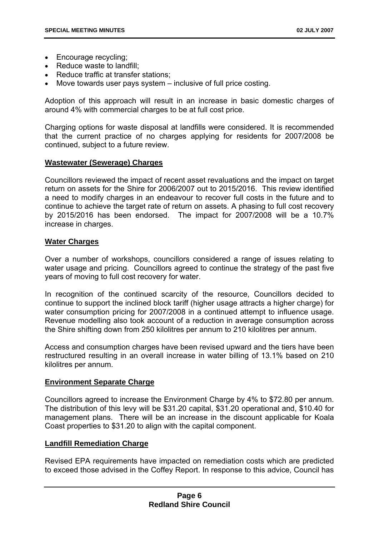- Encourage recycling;
- Reduce waste to landfill:
- Reduce traffic at transfer stations;
- Move towards user pays system inclusive of full price costing.

Adoption of this approach will result in an increase in basic domestic charges of around 4% with commercial charges to be at full cost price.

Charging options for waste disposal at landfills were considered. It is recommended that the current practice of no charges applying for residents for 2007/2008 be continued, subject to a future review.

# **Wastewater (Sewerage) Charges**

Councillors reviewed the impact of recent asset revaluations and the impact on target return on assets for the Shire for 2006/2007 out to 2015/2016. This review identified a need to modify charges in an endeavour to recover full costs in the future and to continue to achieve the target rate of return on assets. A phasing to full cost recovery by 2015/2016 has been endorsed. The impact for 2007/2008 will be a 10.7% increase in charges.

# **Water Charges**

Over a number of workshops, councillors considered a range of issues relating to water usage and pricing. Councillors agreed to continue the strategy of the past five years of moving to full cost recovery for water.

In recognition of the continued scarcity of the resource, Councillors decided to continue to support the inclined block tariff (higher usage attracts a higher charge) for water consumption pricing for 2007/2008 in a continued attempt to influence usage. Revenue modelling also took account of a reduction in average consumption across the Shire shifting down from 250 kilolitres per annum to 210 kilolitres per annum.

Access and consumption charges have been revised upward and the tiers have been restructured resulting in an overall increase in water billing of 13.1% based on 210 kilolitres per annum.

# **Environment Separate Charge**

Councillors agreed to increase the Environment Charge by 4% to \$72.80 per annum. The distribution of this levy will be \$31.20 capital, \$31.20 operational and, \$10.40 for management plans. There will be an increase in the discount applicable for Koala Coast properties to \$31.20 to align with the capital component.

# **Landfill Remediation Charge**

Revised EPA requirements have impacted on remediation costs which are predicted to exceed those advised in the Coffey Report. In response to this advice, Council has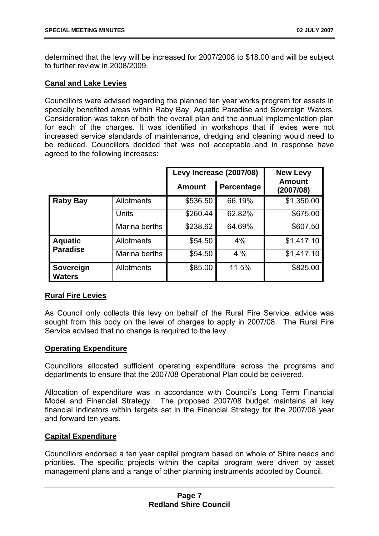determined that the levy will be increased for 2007/2008 to \$18.00 and will be subject to further review in 2008/2009.

# **Canal and Lake Levies**

Councillors were advised regarding the planned ten year works program for assets in specially benefited areas within Raby Bay, Aquatic Paradise and Sovereign Waters. Consideration was taken of both the overall plan and the annual implementation plan for each of the charges. It was identified in workshops that if levies were not increased service standards of maintenance, dredging and cleaning would need to be reduced. Councillors decided that was not acceptable and in response have agreed to the following increases:

|                            |                   | Levy Increase (2007/08) |            | <b>New Levy</b>            |  |
|----------------------------|-------------------|-------------------------|------------|----------------------------|--|
|                            |                   | <b>Amount</b>           | Percentage | <b>Amount</b><br>(2007/08) |  |
| <b>Raby Bay</b>            | <b>Allotments</b> | \$536.50                | 66.19%     | \$1,350.00                 |  |
|                            | Units             | \$260.44                | 62.82%     | \$675.00                   |  |
|                            | Marina berths     | \$238.62                | 64.69%     | \$607.50                   |  |
| <b>Aquatic</b>             | <b>Allotments</b> | \$54.50                 | 4%         | \$1,417.10                 |  |
| <b>Paradise</b>            | Marina berths     | \$54.50                 | 4.%        | \$1,417.10                 |  |
| Sovereign<br><b>Waters</b> | <b>Allotments</b> | \$85.00                 | 11.5%      | \$825.00                   |  |

# **Rural Fire Levies**

As Council only collects this levy on behalf of the Rural Fire Service, advice was sought from this body on the level of charges to apply in 2007/08. The Rural Fire Service advised that no change is required to the levy.

# **Operating Expenditure**

Councillors allocated sufficient operating expenditure across the programs and departments to ensure that the 2007/08 Operational Plan could be delivered.

Allocation of expenditure was in accordance with Council's Long Term Financial Model and Financial Strategy. The proposed 2007/08 budget maintains all key financial indicators within targets set in the Financial Strategy for the 2007/08 year and forward ten years.

# **Capital Expenditure**

Councillors endorsed a ten year capital program based on whole of Shire needs and priorities. The specific projects within the capital program were driven by asset management plans and a range of other planning instruments adopted by Council.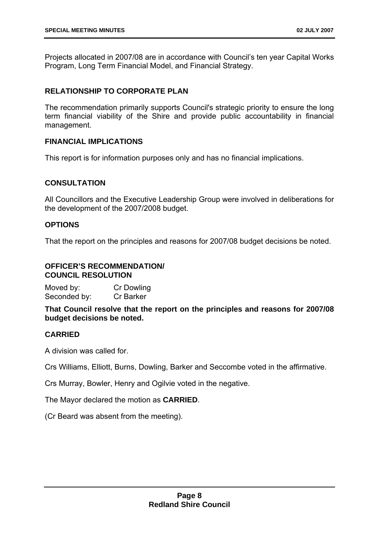Projects allocated in 2007/08 are in accordance with Council's ten year Capital Works Program, Long Term Financial Model, and Financial Strategy.

# **RELATIONSHIP TO CORPORATE PLAN**

The recommendation primarily supports Council's strategic priority to ensure the long term financial viability of the Shire and provide public accountability in financial management.

# **FINANCIAL IMPLICATIONS**

This report is for information purposes only and has no financial implications.

# **CONSULTATION**

All Councillors and the Executive Leadership Group were involved in deliberations for the development of the 2007/2008 budget.

# **OPTIONS**

That the report on the principles and reasons for 2007/08 budget decisions be noted.

# **OFFICER'S RECOMMENDATION/ COUNCIL RESOLUTION**

Moved by: Cr Dowling Seconded by: Cr Barker

**That Council resolve that the report on the principles and reasons for 2007/08 budget decisions be noted.** 

# **CARRIED**

A division was called for.

Crs Williams, Elliott, Burns, Dowling, Barker and Seccombe voted in the affirmative.

Crs Murray, Bowler, Henry and Ogilvie voted in the negative.

The Mayor declared the motion as **CARRIED**.

(Cr Beard was absent from the meeting).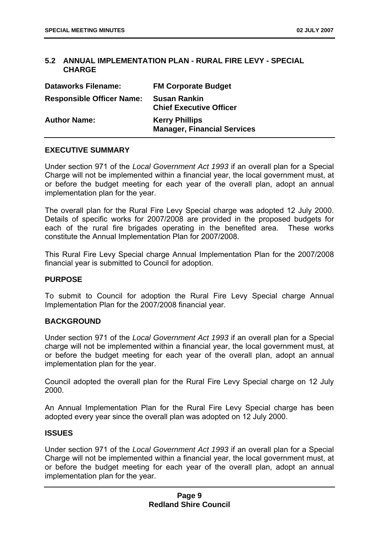# **5.2 ANNUAL IMPLEMENTATION PLAN - RURAL FIRE LEVY - SPECIAL CHARGE**

| <b>Dataworks Filename:</b>       | <b>FM Corporate Budget</b>                                  |
|----------------------------------|-------------------------------------------------------------|
| <b>Responsible Officer Name:</b> | <b>Susan Rankin</b><br><b>Chief Executive Officer</b>       |
| <b>Author Name:</b>              | <b>Kerry Phillips</b><br><b>Manager, Financial Services</b> |

# **EXECUTIVE SUMMARY**

Under section 971 of the *Local Government Act 1993* if an overall plan for a Special Charge will not be implemented within a financial year, the local government must, at or before the budget meeting for each year of the overall plan, adopt an annual implementation plan for the year.

The overall plan for the Rural Fire Levy Special charge was adopted 12 July 2000. Details of specific works for 2007/2008 are provided in the proposed budgets for each of the rural fire brigades operating in the benefited area. These works constitute the Annual Implementation Plan for 2007/2008.

This Rural Fire Levy Special charge Annual Implementation Plan for the 2007/2008 financial year is submitted to Council for adoption.

# **PURPOSE**

To submit to Council for adoption the Rural Fire Levy Special charge Annual Implementation Plan for the 2007/2008 financial year.

# **BACKGROUND**

Under section 971 of the *Local Government Act 1993* if an overall plan for a Special charge will not be implemented within a financial year, the local government must, at or before the budget meeting for each year of the overall plan, adopt an annual implementation plan for the year.

Council adopted the overall plan for the Rural Fire Levy Special charge on 12 July 2000.

An Annual Implementation Plan for the Rural Fire Levy Special charge has been adopted every year since the overall plan was adopted on 12 July 2000.

# **ISSUES**

Under section 971 of the *Local Government Act 1993* if an overall plan for a Special Charge will not be implemented within a financial year, the local government must, at or before the budget meeting for each year of the overall plan, adopt an annual implementation plan for the year.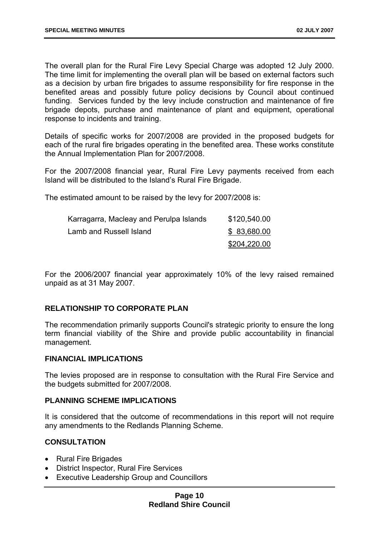The overall plan for the Rural Fire Levy Special Charge was adopted 12 July 2000. The time limit for implementing the overall plan will be based on external factors such as a decision by urban fire brigades to assume responsibility for fire response in the benefited areas and possibly future policy decisions by Council about continued funding. Services funded by the levy include construction and maintenance of fire brigade depots, purchase and maintenance of plant and equipment, operational response to incidents and training.

Details of specific works for 2007/2008 are provided in the proposed budgets for each of the rural fire brigades operating in the benefited area. These works constitute the Annual Implementation Plan for 2007/2008.

For the 2007/2008 financial year, Rural Fire Levy payments received from each Island will be distributed to the Island's Rural Fire Brigade.

The estimated amount to be raised by the levy for 2007/2008 is:

| Karragarra, Macleay and Perulpa Islands | \$120,540.00 |
|-----------------------------------------|--------------|
| Lamb and Russell Island                 | \$83,680.00  |
|                                         | \$204,220.00 |

For the 2006/2007 financial year approximately 10% of the levy raised remained unpaid as at 31 May 2007.

# **RELATIONSHIP TO CORPORATE PLAN**

The recommendation primarily supports Council's strategic priority to ensure the long term financial viability of the Shire and provide public accountability in financial management.

# **FINANCIAL IMPLICATIONS**

The levies proposed are in response to consultation with the Rural Fire Service and the budgets submitted for 2007/2008.

#### **PLANNING SCHEME IMPLICATIONS**

It is considered that the outcome of recommendations in this report will not require any amendments to the Redlands Planning Scheme.

# **CONSULTATION**

- Rural Fire Brigades
- District Inspector, Rural Fire Services
- Executive Leadership Group and Councillors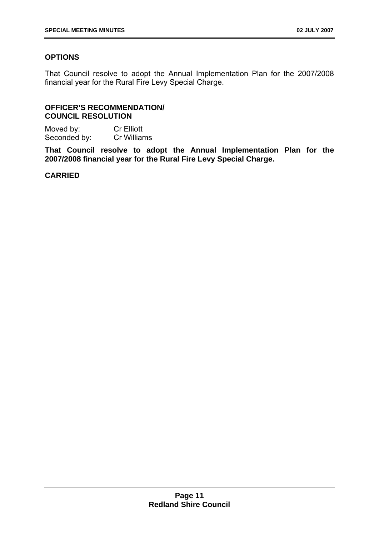# **OPTIONS**

That Council resolve to adopt the Annual Implementation Plan for the 2007/2008 financial year for the Rural Fire Levy Special Charge.

# **OFFICER'S RECOMMENDATION/ COUNCIL RESOLUTION**

Moved by: Cr Elliott Seconded by: Cr Williams

**That Council resolve to adopt the Annual Implementation Plan for the 2007/2008 financial year for the Rural Fire Levy Special Charge.** 

# **CARRIED**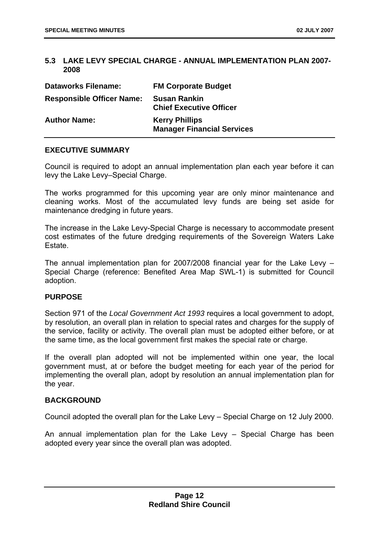# **5.3 LAKE LEVY SPECIAL CHARGE - ANNUAL IMPLEMENTATION PLAN 2007- 2008**

| <b>Dataworks Filename:</b>       | <b>FM Corporate Budget</b>                                 |
|----------------------------------|------------------------------------------------------------|
| <b>Responsible Officer Name:</b> | <b>Susan Rankin</b><br><b>Chief Executive Officer</b>      |
| <b>Author Name:</b>              | <b>Kerry Phillips</b><br><b>Manager Financial Services</b> |

# **EXECUTIVE SUMMARY**

Council is required to adopt an annual implementation plan each year before it can levy the Lake Levy–Special Charge.

The works programmed for this upcoming year are only minor maintenance and cleaning works. Most of the accumulated levy funds are being set aside for maintenance dredging in future years.

The increase in the Lake Levy-Special Charge is necessary to accommodate present cost estimates of the future dredging requirements of the Sovereign Waters Lake Estate.

The annual implementation plan for 2007/2008 financial year for the Lake Levy – Special Charge (reference: Benefited Area Map SWL-1) is submitted for Council adoption.

# **PURPOSE**

Section 971 of the *Local Government Act 1993* requires a local government to adopt, by resolution, an overall plan in relation to special rates and charges for the supply of the service, facility or activity. The overall plan must be adopted either before, or at the same time, as the local government first makes the special rate or charge.

If the overall plan adopted will not be implemented within one year, the local government must, at or before the budget meeting for each year of the period for implementing the overall plan, adopt by resolution an annual implementation plan for the year.

# **BACKGROUND**

Council adopted the overall plan for the Lake Levy – Special Charge on 12 July 2000.

An annual implementation plan for the Lake Levy – Special Charge has been adopted every year since the overall plan was adopted.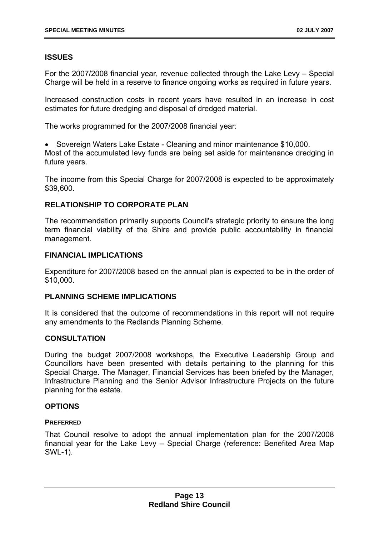# **ISSUES**

For the 2007/2008 financial year, revenue collected through the Lake Levy – Special Charge will be held in a reserve to finance ongoing works as required in future years.

Increased construction costs in recent years have resulted in an increase in cost estimates for future dredging and disposal of dredged material.

The works programmed for the 2007/2008 financial year:

• Sovereign Waters Lake Estate - Cleaning and minor maintenance \$10,000. Most of the accumulated levy funds are being set aside for maintenance dredging in future years.

The income from this Special Charge for 2007/2008 is expected to be approximately \$39,600.

# **RELATIONSHIP TO CORPORATE PLAN**

The recommendation primarily supports Council's strategic priority to ensure the long term financial viability of the Shire and provide public accountability in financial management.

# **FINANCIAL IMPLICATIONS**

Expenditure for 2007/2008 based on the annual plan is expected to be in the order of \$10,000.

# **PLANNING SCHEME IMPLICATIONS**

It is considered that the outcome of recommendations in this report will not require any amendments to the Redlands Planning Scheme.

# **CONSULTATION**

During the budget 2007/2008 workshops, the Executive Leadership Group and Councillors have been presented with details pertaining to the planning for this Special Charge. The Manager, Financial Services has been briefed by the Manager, Infrastructure Planning and the Senior Advisor Infrastructure Projects on the future planning for the estate.

# **OPTIONS**

# **PREFERRED**

That Council resolve to adopt the annual implementation plan for the 2007/2008 financial year for the Lake Levy – Special Charge (reference: Benefited Area Map SWL-1).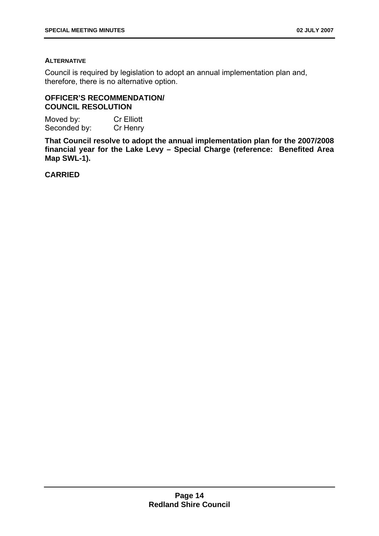# **ALTERNATIVE**

Council is required by legislation to adopt an annual implementation plan and, therefore, there is no alternative option.

# **OFFICER'S RECOMMENDATION/ COUNCIL RESOLUTION**

Moved by: Cr Elliott Seconded by: Cr Henry

**That Council resolve to adopt the annual implementation plan for the 2007/2008 financial year for the Lake Levy – Special Charge (reference: Benefited Area Map SWL-1).** 

**CARRIED**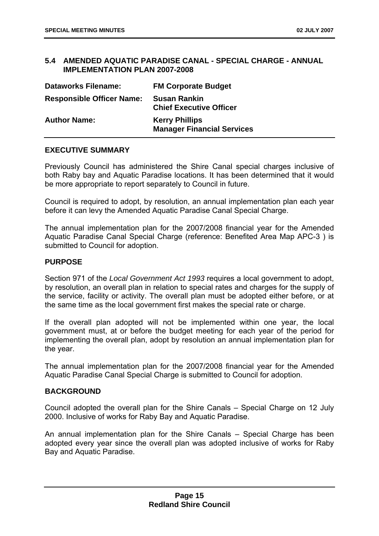# **5.4 AMENDED AQUATIC PARADISE CANAL - SPECIAL CHARGE - ANNUAL IMPLEMENTATION PLAN 2007-2008**

| <b>Dataworks Filename:</b>       | <b>FM Corporate Budget</b>                                 |
|----------------------------------|------------------------------------------------------------|
| <b>Responsible Officer Name:</b> | <b>Susan Rankin</b><br><b>Chief Executive Officer</b>      |
| <b>Author Name:</b>              | <b>Kerry Phillips</b><br><b>Manager Financial Services</b> |

# **EXECUTIVE SUMMARY**

Previously Council has administered the Shire Canal special charges inclusive of both Raby bay and Aquatic Paradise locations. It has been determined that it would be more appropriate to report separately to Council in future.

Council is required to adopt, by resolution, an annual implementation plan each year before it can levy the Amended Aquatic Paradise Canal Special Charge.

The annual implementation plan for the 2007/2008 financial year for the Amended Aquatic Paradise Canal Special Charge (reference: Benefited Area Map APC-3 ) is submitted to Council for adoption.

# **PURPOSE**

Section 971 of the *Local Government Act 1993* requires a local government to adopt, by resolution, an overall plan in relation to special rates and charges for the supply of the service, facility or activity. The overall plan must be adopted either before, or at the same time as the local government first makes the special rate or charge.

If the overall plan adopted will not be implemented within one year, the local government must, at or before the budget meeting for each year of the period for implementing the overall plan, adopt by resolution an annual implementation plan for the year.

The annual implementation plan for the 2007/2008 financial year for the Amended Aquatic Paradise Canal Special Charge is submitted to Council for adoption.

# **BACKGROUND**

Council adopted the overall plan for the Shire Canals – Special Charge on 12 July 2000. Inclusive of works for Raby Bay and Aquatic Paradise.

An annual implementation plan for the Shire Canals – Special Charge has been adopted every year since the overall plan was adopted inclusive of works for Raby Bay and Aquatic Paradise.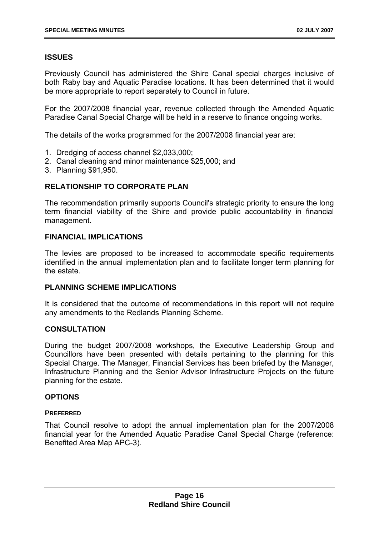# **ISSUES**

Previously Council has administered the Shire Canal special charges inclusive of both Raby bay and Aquatic Paradise locations. It has been determined that it would be more appropriate to report separately to Council in future.

For the 2007/2008 financial year, revenue collected through the Amended Aquatic Paradise Canal Special Charge will be held in a reserve to finance ongoing works.

The details of the works programmed for the 2007/2008 financial year are:

- 1. Dredging of access channel \$2,033,000;
- 2. Canal cleaning and minor maintenance \$25,000; and
- 3. Planning \$91,950.

# **RELATIONSHIP TO CORPORATE PLAN**

The recommendation primarily supports Council's strategic priority to ensure the long term financial viability of the Shire and provide public accountability in financial management.

# **FINANCIAL IMPLICATIONS**

The levies are proposed to be increased to accommodate specific requirements identified in the annual implementation plan and to facilitate longer term planning for the estate.

# **PLANNING SCHEME IMPLICATIONS**

It is considered that the outcome of recommendations in this report will not require any amendments to the Redlands Planning Scheme.

# **CONSULTATION**

During the budget 2007/2008 workshops, the Executive Leadership Group and Councillors have been presented with details pertaining to the planning for this Special Charge. The Manager, Financial Services has been briefed by the Manager, Infrastructure Planning and the Senior Advisor Infrastructure Projects on the future planning for the estate.

# **OPTIONS**

# **PREFERRED**

That Council resolve to adopt the annual implementation plan for the 2007/2008 financial year for the Amended Aquatic Paradise Canal Special Charge (reference: Benefited Area Map APC-3).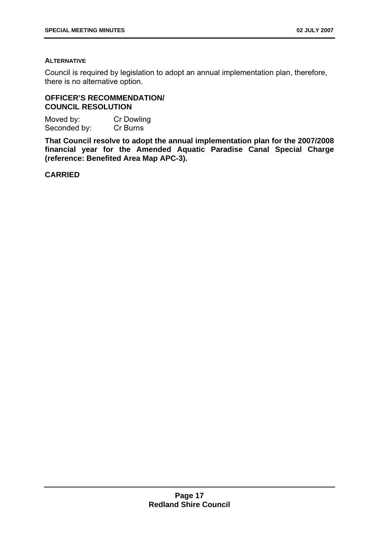# **ALTERNATIVE**

Council is required by legislation to adopt an annual implementation plan, therefore, there is no alternative option.

# **OFFICER'S RECOMMENDATION/ COUNCIL RESOLUTION**

Moved by: Cr Dowling Seconded by: Cr Burns

**That Council resolve to adopt the annual implementation plan for the 2007/2008 financial year for the Amended Aquatic Paradise Canal Special Charge (reference: Benefited Area Map APC-3).** 

**CARRIED**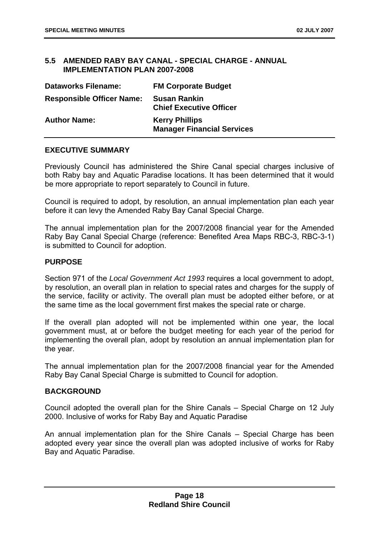# **5.5 AMENDED RABY BAY CANAL - SPECIAL CHARGE - ANNUAL IMPLEMENTATION PLAN 2007-2008**

| <b>Dataworks Filename:</b>       | <b>FM Corporate Budget</b>                                 |
|----------------------------------|------------------------------------------------------------|
| <b>Responsible Officer Name:</b> | <b>Susan Rankin</b><br><b>Chief Executive Officer</b>      |
| <b>Author Name:</b>              | <b>Kerry Phillips</b><br><b>Manager Financial Services</b> |

# **EXECUTIVE SUMMARY**

Previously Council has administered the Shire Canal special charges inclusive of both Raby bay and Aquatic Paradise locations. It has been determined that it would be more appropriate to report separately to Council in future.

Council is required to adopt, by resolution, an annual implementation plan each year before it can levy the Amended Raby Bay Canal Special Charge.

The annual implementation plan for the 2007/2008 financial year for the Amended Raby Bay Canal Special Charge (reference: Benefited Area Maps RBC-3, RBC-3-1) is submitted to Council for adoption.

# **PURPOSE**

Section 971 of the *Local Government Act 1993* requires a local government to adopt, by resolution, an overall plan in relation to special rates and charges for the supply of the service, facility or activity. The overall plan must be adopted either before, or at the same time as the local government first makes the special rate or charge.

If the overall plan adopted will not be implemented within one year, the local government must, at or before the budget meeting for each year of the period for implementing the overall plan, adopt by resolution an annual implementation plan for the year.

The annual implementation plan for the 2007/2008 financial year for the Amended Raby Bay Canal Special Charge is submitted to Council for adoption.

# **BACKGROUND**

Council adopted the overall plan for the Shire Canals – Special Charge on 12 July 2000. Inclusive of works for Raby Bay and Aquatic Paradise

An annual implementation plan for the Shire Canals – Special Charge has been adopted every year since the overall plan was adopted inclusive of works for Raby Bay and Aquatic Paradise.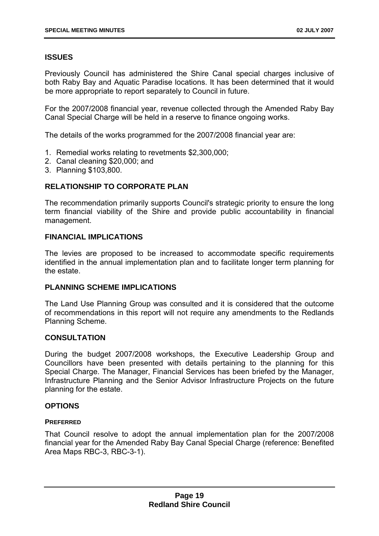# **ISSUES**

Previously Council has administered the Shire Canal special charges inclusive of both Raby Bay and Aquatic Paradise locations. It has been determined that it would be more appropriate to report separately to Council in future.

For the 2007/2008 financial year, revenue collected through the Amended Raby Bay Canal Special Charge will be held in a reserve to finance ongoing works.

The details of the works programmed for the 2007/2008 financial year are:

- 1. Remedial works relating to revetments \$2,300,000;
- 2. Canal cleaning \$20,000; and
- 3. Planning \$103,800.

# **RELATIONSHIP TO CORPORATE PLAN**

The recommendation primarily supports Council's strategic priority to ensure the long term financial viability of the Shire and provide public accountability in financial management.

# **FINANCIAL IMPLICATIONS**

The levies are proposed to be increased to accommodate specific requirements identified in the annual implementation plan and to facilitate longer term planning for the estate.

# **PLANNING SCHEME IMPLICATIONS**

The Land Use Planning Group was consulted and it is considered that the outcome of recommendations in this report will not require any amendments to the Redlands Planning Scheme.

# **CONSULTATION**

During the budget 2007/2008 workshops, the Executive Leadership Group and Councillors have been presented with details pertaining to the planning for this Special Charge. The Manager, Financial Services has been briefed by the Manager, Infrastructure Planning and the Senior Advisor Infrastructure Projects on the future planning for the estate.

# **OPTIONS**

# **PREFERRED**

That Council resolve to adopt the annual implementation plan for the 2007/2008 financial year for the Amended Raby Bay Canal Special Charge (reference: Benefited Area Maps RBC-3, RBC-3-1).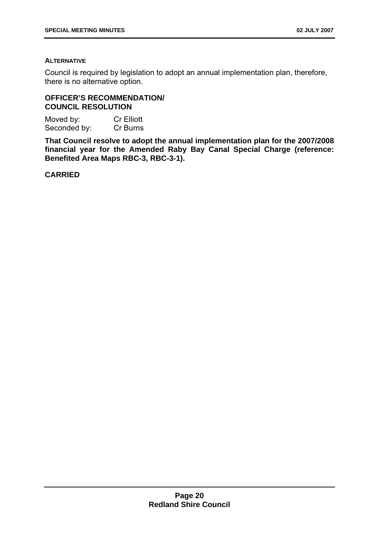# **ALTERNATIVE**

Council is required by legislation to adopt an annual implementation plan, therefore, there is no alternative option.

# **OFFICER'S RECOMMENDATION/ COUNCIL RESOLUTION**

Moved by: Cr Elliott Seconded by: Cr Burns

**That Council resolve to adopt the annual implementation plan for the 2007/2008 financial year for the Amended Raby Bay Canal Special Charge (reference: Benefited Area Maps RBC-3, RBC-3-1).** 

**CARRIED**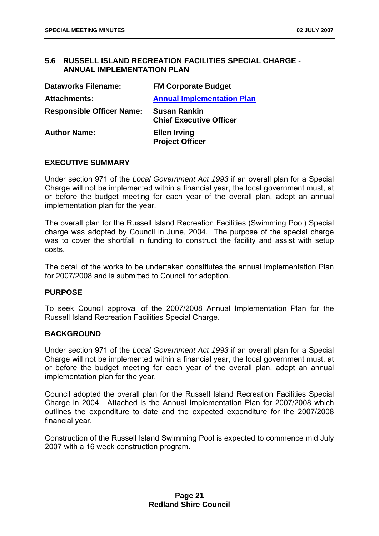# **5.6 RUSSELL ISLAND RECREATION FACILITIES SPECIAL CHARGE - ANNUAL IMPLEMENTATION PLAN**

| <b>Dataworks Filename:</b>       | <b>FM Corporate Budget</b>                            |
|----------------------------------|-------------------------------------------------------|
| <b>Attachments:</b>              | <b>Annual Implementation Plan</b>                     |
| <b>Responsible Officer Name:</b> | <b>Susan Rankin</b><br><b>Chief Executive Officer</b> |
| <b>Author Name:</b>              | <b>Ellen Irving</b><br><b>Project Officer</b>         |

# **EXECUTIVE SUMMARY**

Under section 971 of the *Local Government Act 1993* if an overall plan for a Special Charge will not be implemented within a financial year, the local government must, at or before the budget meeting for each year of the overall plan, adopt an annual implementation plan for the year.

The overall plan for the Russell Island Recreation Facilities (Swimming Pool) Special charge was adopted by Council in June, 2004. The purpose of the special charge was to cover the shortfall in funding to construct the facility and assist with setup costs.

The detail of the works to be undertaken constitutes the annual Implementation Plan for 2007/2008 and is submitted to Council for adoption.

# **PURPOSE**

To seek Council approval of the 2007/2008 Annual Implementation Plan for the Russell Island Recreation Facilities Special Charge.

#### **BACKGROUND**

Under section 971 of the *Local Government Act 1993* if an overall plan for a Special Charge will not be implemented within a financial year, the local government must, at or before the budget meeting for each year of the overall plan, adopt an annual implementation plan for the year.

Council adopted the overall plan for the Russell Island Recreation Facilities Special Charge in 2004. Attached is the Annual Implementation Plan for 2007/2008 which outlines the expenditure to date and the expected expenditure for the 2007/2008 financial year.

Construction of the Russell Island Swimming Pool is expected to commence mid July 2007 with a 16 week construction program.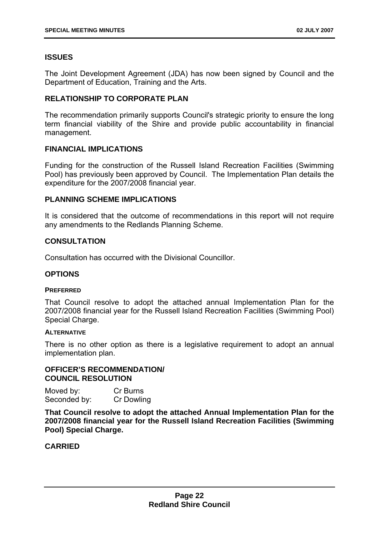# **ISSUES**

The Joint Development Agreement (JDA) has now been signed by Council and the Department of Education, Training and the Arts.

# **RELATIONSHIP TO CORPORATE PLAN**

The recommendation primarily supports Council's strategic priority to ensure the long term financial viability of the Shire and provide public accountability in financial management.

# **FINANCIAL IMPLICATIONS**

Funding for the construction of the Russell Island Recreation Facilities (Swimming Pool) has previously been approved by Council. The Implementation Plan details the expenditure for the 2007/2008 financial year.

# **PLANNING SCHEME IMPLICATIONS**

It is considered that the outcome of recommendations in this report will not require any amendments to the Redlands Planning Scheme.

# **CONSULTATION**

Consultation has occurred with the Divisional Councillor.

# **OPTIONS**

#### **PREFERRED**

That Council resolve to adopt the attached annual Implementation Plan for the 2007/2008 financial year for the Russell Island Recreation Facilities (Swimming Pool) Special Charge.

#### **ALTERNATIVE**

There is no other option as there is a legislative requirement to adopt an annual implementation plan.

# **OFFICER'S RECOMMENDATION/ COUNCIL RESOLUTION**

| Moved by:    | Cr Burns   |
|--------------|------------|
| Seconded by: | Cr Dowling |

**That Council resolve to adopt the attached Annual Implementation Plan for the 2007/2008 financial year for the Russell Island Recreation Facilities (Swimming Pool) Special Charge.** 

**CARRIED**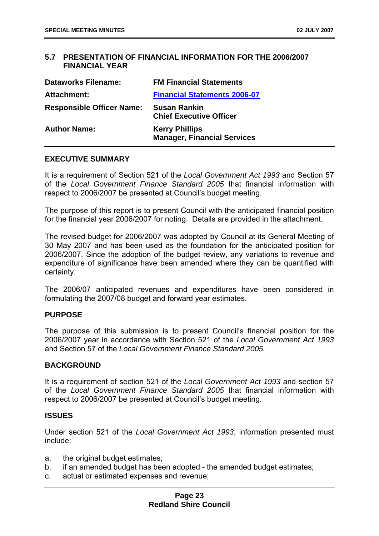# **5.7 PRESENTATION OF FINANCIAL INFORMATION FOR THE 2006/2007 FINANCIAL YEAR**

| <b>Dataworks Filename:</b>       | <b>FM Financial Statements</b>                              |
|----------------------------------|-------------------------------------------------------------|
| Attachment:                      | <b>Financial Statements 2006-07</b>                         |
| <b>Responsible Officer Name:</b> | <b>Susan Rankin</b><br><b>Chief Executive Officer</b>       |
| <b>Author Name:</b>              | <b>Kerry Phillips</b><br><b>Manager, Financial Services</b> |

#### **EXECUTIVE SUMMARY**

It is a requirement of Section 521 of the *Local Government Act 1993* and Section 57 of the *Local Government Finance Standard 2005* that financial information with respect to 2006/2007 be presented at Council's budget meeting.

The purpose of this report is to present Council with the anticipated financial position for the financial year 2006/2007 for noting. Details are provided in the attachment.

The revised budget for 2006/2007 was adopted by Council at its General Meeting of 30 May 2007 and has been used as the foundation for the anticipated position for 2006/2007. Since the adoption of the budget review, any variations to revenue and expenditure of significance have been amended where they can be quantified with certainty.

The 2006/07 anticipated revenues and expenditures have been considered in formulating the 2007/08 budget and forward year estimates.

# **PURPOSE**

The purpose of this submission is to present Council's financial position for the 2006/2007 year in accordance with Section 521 of the *Local Government Act 1993* and Section 57 of the *Local Government Finance Standard 2005.*

# **BACKGROUND**

It is a requirement of section 521 of the *Local Government Act 1993* and section 57 of the *Local Government Finance Standard 2005* that financial information with respect to 2006/2007 be presented at Council's budget meeting.

#### **ISSUES**

Under section 521 of the *Local Government Act 1993*, information presented must include:

- a. the original budget estimates;
- b. if an amended budget has been adopted the amended budget estimates;
- c. actual or estimated expenses and revenue;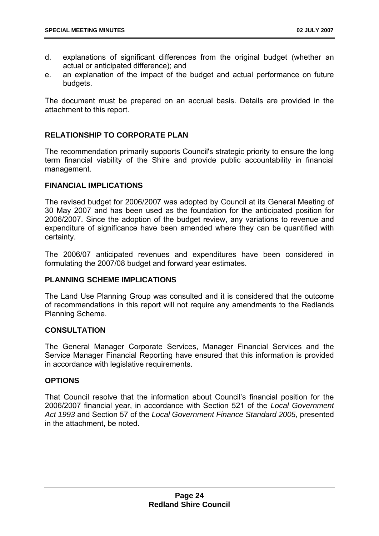- d. explanations of significant differences from the original budget (whether an actual or anticipated difference); and
- e. an explanation of the impact of the budget and actual performance on future budgets.

The document must be prepared on an accrual basis. Details are provided in the attachment to this report.

# **RELATIONSHIP TO CORPORATE PLAN**

The recommendation primarily supports Council's strategic priority to ensure the long term financial viability of the Shire and provide public accountability in financial management.

# **FINANCIAL IMPLICATIONS**

The revised budget for 2006/2007 was adopted by Council at its General Meeting of 30 May 2007 and has been used as the foundation for the anticipated position for 2006/2007. Since the adoption of the budget review, any variations to revenue and expenditure of significance have been amended where they can be quantified with certainty.

The 2006/07 anticipated revenues and expenditures have been considered in formulating the 2007/08 budget and forward year estimates.

# **PLANNING SCHEME IMPLICATIONS**

The Land Use Planning Group was consulted and it is considered that the outcome of recommendations in this report will not require any amendments to the Redlands Planning Scheme.

# **CONSULTATION**

The General Manager Corporate Services, Manager Financial Services and the Service Manager Financial Reporting have ensured that this information is provided in accordance with legislative requirements.

# **OPTIONS**

That Council resolve that the information about Council's financial position for the 2006/2007 financial year, in accordance with Section 521 of the *Local Government Act 1993* and Section 57 of the *Local Government Finance Standard 2005*, presented in the attachment, be noted.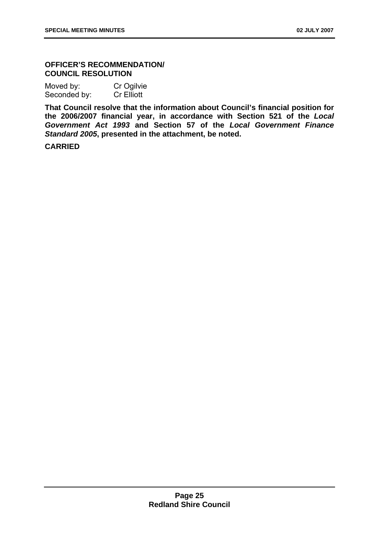# **OFFICER'S RECOMMENDATION/ COUNCIL RESOLUTION**

| Moved by:    | Cr Ogilvie        |
|--------------|-------------------|
| Seconded by: | <b>Cr</b> Elliott |

**That Council resolve that the information about Council's financial position for the 2006/2007 financial year, in accordance with Section 521 of the** *Local Government Act 1993* **and Section 57 of the** *Local Government Finance Standard 2005***, presented in the attachment, be noted.** 

**CARRIED**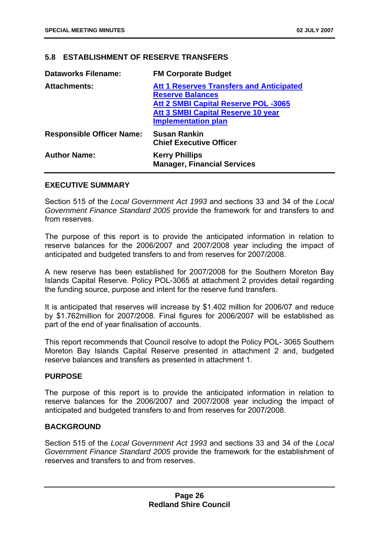# **5.8 ESTABLISHMENT OF RESERVE TRANSFERS**

| <b>Dataworks Filename:</b>       | <b>FM Corporate Budget</b>                                                 |
|----------------------------------|----------------------------------------------------------------------------|
| <b>Attachments:</b>              | <b>Att 1 Reserves Transfers and Anticipated</b><br><b>Reserve Balances</b> |
|                                  | <b>Att 2 SMBI Capital Reserve POL -3065</b>                                |
|                                  | <b>Att 3 SMBI Capital Reserve 10 year</b>                                  |
|                                  | <b>Implementation plan</b>                                                 |
| <b>Responsible Officer Name:</b> | <b>Susan Rankin</b><br><b>Chief Executive Officer</b>                      |
| <b>Author Name:</b>              | <b>Kerry Phillips</b><br><b>Manager, Financial Services</b>                |

# **EXECUTIVE SUMMARY**

Section 515 of the *Local Government Act 1993* and sections 33 and 34 of the *Local Government Finance Standard 2005* provide the framework for and transfers to and from reserves.

The purpose of this report is to provide the anticipated information in relation to reserve balances for the 2006/2007 and 2007/2008 year including the impact of anticipated and budgeted transfers to and from reserves for 2007/2008.

A new reserve has been established for 2007/2008 for the Southern Moreton Bay Islands Capital Reserve. Policy POL-3065 at attachment 2 provides detail regarding the funding source, purpose and intent for the reserve fund transfers.

It is anticipated that reserves will increase by \$1.402 million for 2006/07 and reduce by \$1.762million for 2007/2008. Final figures for 2006/2007 will be established as part of the end of year finalisation of accounts.

This report recommends that Council resolve to adopt the Policy POL- 3065 Southern Moreton Bay Islands Capital Reserve presented in attachment 2 and, budgeted reserve balances and transfers as presented in attachment 1.

# **PURPOSE**

The purpose of this report is to provide the anticipated information in relation to reserve balances for the 2006/2007 and 2007/2008 year including the impact of anticipated and budgeted transfers to and from reserves for 2007/2008.

# **BACKGROUND**

Section 515 of the *Local Government Act 1993* and sections 33 and 34 of the *Local Government Finance Standard 2005* provide the framework for the establishment of reserves and transfers to and from reserves.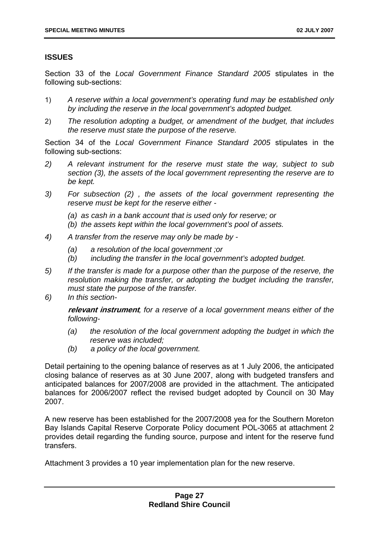# **ISSUES**

Section 33 of the *Local Government Finance Standard 2005* stipulates in the following sub-sections:

- 1) *A reserve within a local government's operating fund may be established only by including the reserve in the local government's adopted budget.*
- 2) *The resolution adopting a budget, or amendment of the budget, that includes the reserve must state the purpose of the reserve.*

Section 34 of the *Local Government Finance Standard 2005* stipulates in the following sub-sections:

- *2) A relevant instrument for the reserve must state the way, subject to sub section (3), the assets of the local government representing the reserve are to be kept.*
- *3) For subsection (2) , the assets of the local government representing the reserve must be kept for the reserve either -* 
	- *(a) as cash in a bank account that is used only for reserve; or*
	- *(b) the assets kept within the local government's pool of assets.*
- *4) A transfer from the reserve may only be made by* 
	- *(a) a resolution of the local government ;or*
	- *(b) including the transfer in the local government's adopted budget.*
- *5) If the transfer is made for a purpose other than the purpose of the reserve, the resolution making the transfer, or adopting the budget including the transfer, must state the purpose of the transfer.*
- *6) In this section-*

**relevant instrument***, for a reserve of a local government means either of the following-* 

- *(a) the resolution of the local government adopting the budget in which the reserve was included;*
- *(b) a policy of the local government.*

Detail pertaining to the opening balance of reserves as at 1 July 2006, the anticipated closing balance of reserves as at 30 June 2007, along with budgeted transfers and anticipated balances for 2007/2008 are provided in the attachment. The anticipated balances for 2006/2007 reflect the revised budget adopted by Council on 30 May 2007.

A new reserve has been established for the 2007/2008 yea for the Southern Moreton Bay Islands Capital Reserve Corporate Policy document POL-3065 at attachment 2 provides detail regarding the funding source, purpose and intent for the reserve fund transfers.

Attachment 3 provides a 10 year implementation plan for the new reserve.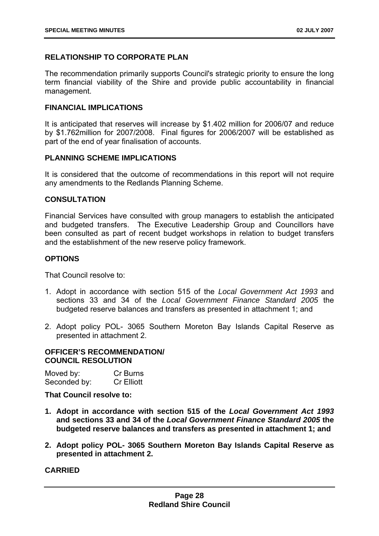# **RELATIONSHIP TO CORPORATE PLAN**

The recommendation primarily supports Council's strategic priority to ensure the long term financial viability of the Shire and provide public accountability in financial management.

# **FINANCIAL IMPLICATIONS**

It is anticipated that reserves will increase by \$1.402 million for 2006/07 and reduce by \$1.762million for 2007/2008. Final figures for 2006/2007 will be established as part of the end of year finalisation of accounts.

# **PLANNING SCHEME IMPLICATIONS**

It is considered that the outcome of recommendations in this report will not require any amendments to the Redlands Planning Scheme.

# **CONSULTATION**

Financial Services have consulted with group managers to establish the anticipated and budgeted transfers. The Executive Leadership Group and Councillors have been consulted as part of recent budget workshops in relation to budget transfers and the establishment of the new reserve policy framework.

# **OPTIONS**

That Council resolve to:

- 1. Adopt in accordance with section 515 of the *Local Government Act 1993* and sections 33 and 34 of the *Local Government Finance Standard 2005* the budgeted reserve balances and transfers as presented in attachment 1; and
- 2. Adopt policy POL- 3065 Southern Moreton Bay Islands Capital Reserve as presented in attachment 2.

# **OFFICER'S RECOMMENDATION/ COUNCIL RESOLUTION**

| Moved by:    | Cr Burns          |
|--------------|-------------------|
| Seconded by: | <b>Cr Elliott</b> |

**That Council resolve to:** 

- **1. Adopt in accordance with section 515 of the** *Local Government Act 1993* **and sections 33 and 34 of the** *Local Government Finance Standard 2005* **the budgeted reserve balances and transfers as presented in attachment 1; and**
- **2. Adopt policy POL- 3065 Southern Moreton Bay Islands Capital Reserve as presented in attachment 2.**

**CARRIED**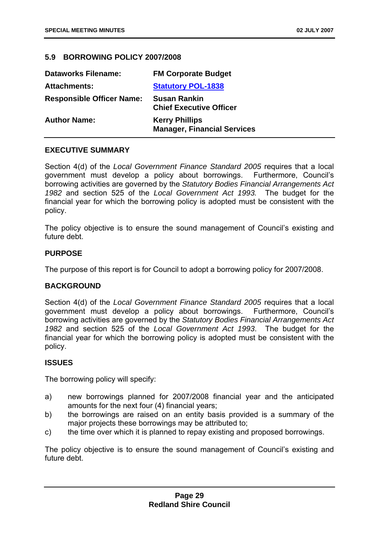# **5.9 BORROWING POLICY 2007/2008**

| <b>Dataworks Filename:</b>       | <b>FM Corporate Budget</b>                                  |
|----------------------------------|-------------------------------------------------------------|
| <b>Attachments:</b>              | <b>Statutory POL-1838</b>                                   |
| <b>Responsible Officer Name:</b> | <b>Susan Rankin</b><br><b>Chief Executive Officer</b>       |
| <b>Author Name:</b>              | <b>Kerry Phillips</b><br><b>Manager, Financial Services</b> |

# **EXECUTIVE SUMMARY**

Section 4(d) of the *Local Government Finance Standard 2005* requires that a local government must develop a policy about borrowings. Furthermore, Council's borrowing activities are governed by the *Statutory Bodies Financial Arrangements Act 1982* and section 525 of the *Local Government Act 1993.* The budget for the financial year for which the borrowing policy is adopted must be consistent with the policy.

The policy objective is to ensure the sound management of Council's existing and future debt.

# **PURPOSE**

The purpose of this report is for Council to adopt a borrowing policy for 2007/2008.

# **BACKGROUND**

Section 4(d) of the *Local Government Finance Standard 2005* requires that a local government must develop a policy about borrowings. Furthermore, Council's borrowing activities are governed by the *Statutory Bodies Financial Arrangements Act 1982* and section 525 of the *Local Government Act 1993*. The budget for the financial year for which the borrowing policy is adopted must be consistent with the policy.

# **ISSUES**

The borrowing policy will specify:

- a) new borrowings planned for 2007/2008 financial year and the anticipated amounts for the next four (4) financial years;
- b) the borrowings are raised on an entity basis provided is a summary of the major projects these borrowings may be attributed to;
- c) the time over which it is planned to repay existing and proposed borrowings.

The policy objective is to ensure the sound management of Council's existing and future debt.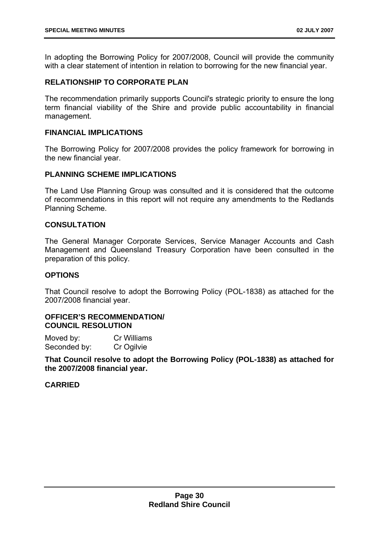In adopting the Borrowing Policy for 2007/2008, Council will provide the community with a clear statement of intention in relation to borrowing for the new financial year.

# **RELATIONSHIP TO CORPORATE PLAN**

The recommendation primarily supports Council's strategic priority to ensure the long term financial viability of the Shire and provide public accountability in financial management.

# **FINANCIAL IMPLICATIONS**

The Borrowing Policy for 2007/2008 provides the policy framework for borrowing in the new financial year.

# **PLANNING SCHEME IMPLICATIONS**

The Land Use Planning Group was consulted and it is considered that the outcome of recommendations in this report will not require any amendments to the Redlands Planning Scheme.

# **CONSULTATION**

The General Manager Corporate Services, Service Manager Accounts and Cash Management and Queensland Treasury Corporation have been consulted in the preparation of this policy.

# **OPTIONS**

That Council resolve to adopt the Borrowing Policy (POL-1838) as attached for the 2007/2008 financial year.

# **OFFICER'S RECOMMENDATION/ COUNCIL RESOLUTION**

| Moved by:    | Cr Williams |
|--------------|-------------|
| Seconded by: | Cr Ogilvie  |

**That Council resolve to adopt the Borrowing Policy (POL-1838) as attached for the 2007/2008 financial year.** 

# **CARRIED**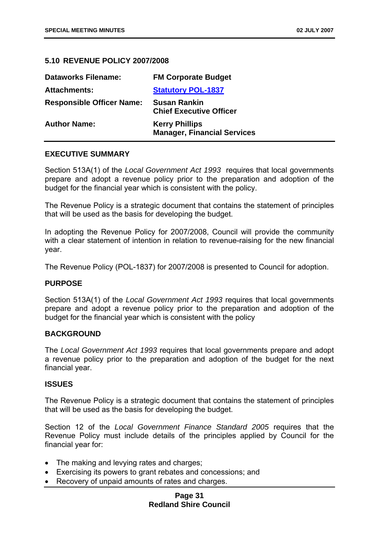# **5.10 REVENUE POLICY 2007/2008**

| <b>Dataworks Filename:</b>       | <b>FM Corporate Budget</b>                                  |
|----------------------------------|-------------------------------------------------------------|
| <b>Attachments:</b>              | <b>Statutory POL-1837</b>                                   |
| <b>Responsible Officer Name:</b> | <b>Susan Rankin</b><br><b>Chief Executive Officer</b>       |
| <b>Author Name:</b>              | <b>Kerry Phillips</b><br><b>Manager, Financial Services</b> |

#### **EXECUTIVE SUMMARY**

Section 513A(1) of the *Local Government Act 1993* requires that local governments prepare and adopt a revenue policy prior to the preparation and adoption of the budget for the financial year which is consistent with the policy.

The Revenue Policy is a strategic document that contains the statement of principles that will be used as the basis for developing the budget.

In adopting the Revenue Policy for 2007/2008, Council will provide the community with a clear statement of intention in relation to revenue-raising for the new financial year.

The Revenue Policy (POL-1837) for 2007/2008 is presented to Council for adoption.

# **PURPOSE**

Section 513A(1) of the *Local Government Act 1993* requires that local governments prepare and adopt a revenue policy prior to the preparation and adoption of the budget for the financial year which is consistent with the policy

#### **BACKGROUND**

The *Local Government Act 1993* requires that local governments prepare and adopt a revenue policy prior to the preparation and adoption of the budget for the next financial year.

#### **ISSUES**

The Revenue Policy is a strategic document that contains the statement of principles that will be used as the basis for developing the budget.

Section 12 of the *Local Government Finance Standard 2005* requires that the Revenue Policy must include details of the principles applied by Council for the financial year for:

- The making and levying rates and charges;
- Exercising its powers to grant rebates and concessions; and
- Recovery of unpaid amounts of rates and charges.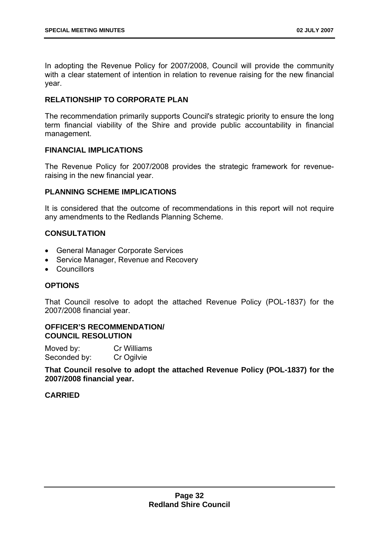In adopting the Revenue Policy for 2007/2008, Council will provide the community with a clear statement of intention in relation to revenue raising for the new financial year.

# **RELATIONSHIP TO CORPORATE PLAN**

The recommendation primarily supports Council's strategic priority to ensure the long term financial viability of the Shire and provide public accountability in financial management.

# **FINANCIAL IMPLICATIONS**

The Revenue Policy for 2007/2008 provides the strategic framework for revenueraising in the new financial year.

# **PLANNING SCHEME IMPLICATIONS**

It is considered that the outcome of recommendations in this report will not require any amendments to the Redlands Planning Scheme.

# **CONSULTATION**

- General Manager Corporate Services
- Service Manager, Revenue and Recovery
- Councillors

# **OPTIONS**

That Council resolve to adopt the attached Revenue Policy (POL-1837) for the 2007/2008 financial year.

# **OFFICER'S RECOMMENDATION/ COUNCIL RESOLUTION**

Moved by: Cr Williams Seconded by: Cr Ogilvie

**That Council resolve to adopt the attached Revenue Policy (POL-1837) for the 2007/2008 financial year.** 

# **CARRIED**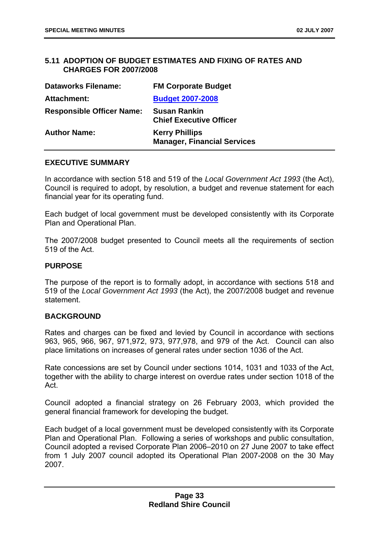# **5.11 ADOPTION OF BUDGET ESTIMATES AND FIXING OF RATES AND CHARGES FOR 2007/2008**

| <b>Dataworks Filename:</b>       | <b>FM Corporate Budget</b>                                  |
|----------------------------------|-------------------------------------------------------------|
| <b>Attachment:</b>               | <b>Budget 2007-2008</b>                                     |
| <b>Responsible Officer Name:</b> | <b>Susan Rankin</b><br><b>Chief Executive Officer</b>       |
| <b>Author Name:</b>              | <b>Kerry Phillips</b><br><b>Manager, Financial Services</b> |

# **EXECUTIVE SUMMARY**

In accordance with section 518 and 519 of the *Local Government Act 1993* (the Act), Council is required to adopt, by resolution, a budget and revenue statement for each financial year for its operating fund.

Each budget of local government must be developed consistently with its Corporate Plan and Operational Plan.

The 2007/2008 budget presented to Council meets all the requirements of section 519 of the Act.

#### **PURPOSE**

The purpose of the report is to formally adopt, in accordance with sections 518 and 519 of the *Local Government Act 1993* (the Act), the 2007/2008 budget and revenue statement.

# **BACKGROUND**

Rates and charges can be fixed and levied by Council in accordance with sections 963, 965, 966, 967, 971,972, 973, 977,978, and 979 of the Act. Council can also place limitations on increases of general rates under section 1036 of the Act.

Rate concessions are set by Council under sections 1014, 1031 and 1033 of the Act, together with the ability to charge interest on overdue rates under section 1018 of the Act.

Council adopted a financial strategy on 26 February 2003, which provided the general financial framework for developing the budget.

Each budget of a local government must be developed consistently with its Corporate Plan and Operational Plan. Following a series of workshops and public consultation, Council adopted a revised Corporate Plan 2006–2010 on 27 June 2007 to take effect from 1 July 2007 council adopted its Operational Plan 2007-2008 on the 30 May 2007.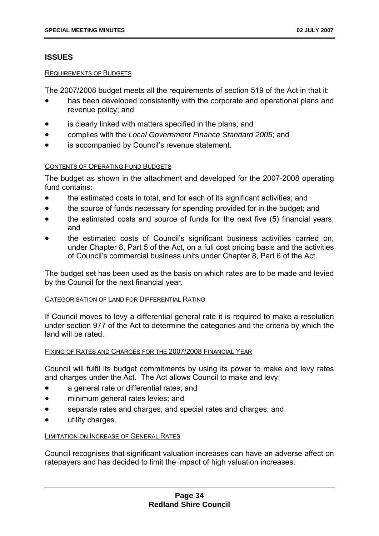# **ISSUES**

#### REQUIREMENTS OF BUDGETS

The 2007/2008 budget meets all the requirements of section 519 of the Act in that it:

- has been developed consistently with the corporate and operational plans and revenue policy; and
- is clearly linked with matters specified in the plans; and
- complies with the *Local Government Finance Standard 2005*; and
- is accompanied by Council's revenue statement.

# CONTENTS OF OPERATING FUND BUDGETS

The budget as shown in the attachment and developed for the 2007-2008 operating fund contains:

- the estimated costs in total, and for each of its significant activities; and
- the source of funds necessary for spending provided for in the budget; and
- the estimated costs and source of funds for the next five (5) financial years; and
- the estimated costs of Council's significant business activities carried on, under Chapter 8, Part 5 of the Act, on a full cost pricing basis and the activities of Council's commercial business units under Chapter 8, Part 6 of the Act.

The budget set has been used as the basis on which rates are to be made and levied by the Council for the next financial year.

# CATEGORISATION OF LAND FOR DIFFERENTIAL RATING

If Council moves to levy a differential general rate it is required to make a resolution under section 977 of the Act to determine the categories and the criteria by which the land will be rated.

# FIXING OF RATES AND CHARGES FOR THE 2007/2008 FINANCIAL YEAR

Council will fulfil its budget commitments by using its power to make and levy rates and charges under the Act. The Act allows Council to make and levy:

- a general rate or differential rates; and
- **•** minimum general rates levies; and
- separate rates and charges; and special rates and charges; and
- utility charges.

# LIMITATION ON INCREASE OF GENERAL RATES

Council recognises that significant valuation increases can have an adverse affect on ratepayers and has decided to limit the impact of high valuation increases.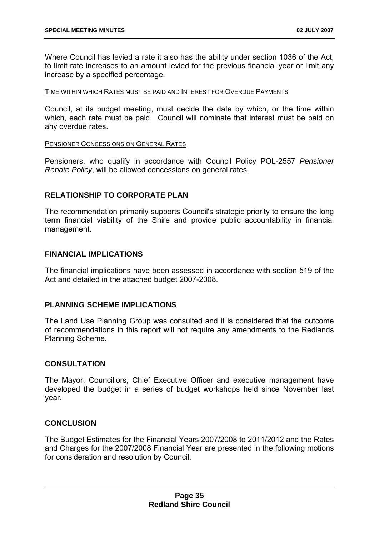Where Council has levied a rate it also has the ability under section 1036 of the Act, to limit rate increases to an amount levied for the previous financial year or limit any increase by a specified percentage.

#### TIME WITHIN WHICH RATES MUST BE PAID AND INTEREST FOR OVERDUE PAYMENTS

Council, at its budget meeting, must decide the date by which, or the time within which, each rate must be paid. Council will nominate that interest must be paid on any overdue rates.

#### PENSIONER CONCESSIONS ON GENERAL RATES

Pensioners, who qualify in accordance with Council Policy POL-2557 *Pensioner Rebate Policy*, will be allowed concessions on general rates.

# **RELATIONSHIP TO CORPORATE PLAN**

The recommendation primarily supports Council's strategic priority to ensure the long term financial viability of the Shire and provide public accountability in financial management.

# **FINANCIAL IMPLICATIONS**

The financial implications have been assessed in accordance with section 519 of the Act and detailed in the attached budget 2007-2008.

# **PLANNING SCHEME IMPLICATIONS**

The Land Use Planning Group was consulted and it is considered that the outcome of recommendations in this report will not require any amendments to the Redlands Planning Scheme.

# **CONSULTATION**

The Mayor, Councillors, Chief Executive Officer and executive management have developed the budget in a series of budget workshops held since November last year.

# **CONCLUSION**

The Budget Estimates for the Financial Years 2007/2008 to 2011/2012 and the Rates and Charges for the 2007/2008 Financial Year are presented in the following motions for consideration and resolution by Council: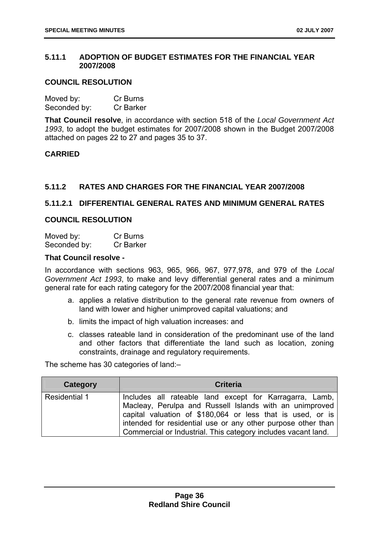# **5.11.1 ADOPTION OF BUDGET ESTIMATES FOR THE FINANCIAL YEAR 2007/2008**

# **COUNCIL RESOLUTION**

| Moved by:    | Cr Burns  |
|--------------|-----------|
| Seconded by: | Cr Barker |

**That Council resolve**, in accordance with section 518 of the *Local Government Act 1993*, to adopt the budget estimates for 2007/2008 shown in the Budget 2007/2008 attached on pages 22 to 27 and pages 35 to 37.

# **CARRIED**

# **5.11.2 RATES AND CHARGES FOR THE FINANCIAL YEAR 2007/2008**

# **5.11.2.1 DIFFERENTIAL GENERAL RATES AND MINIMUM GENERAL RATES**

# **COUNCIL RESOLUTION**

| Moved by:    | Cr Burns         |
|--------------|------------------|
| Seconded by: | <b>Cr Barker</b> |

#### **That Council resolve -**

In accordance with sections 963, 965, 966, 967, 977,978, and 979 of the *Local Government Act 1993*, to make and levy differential general rates and a minimum general rate for each rating category for the 2007/2008 financial year that:

- a. applies a relative distribution to the general rate revenue from owners of land with lower and higher unimproved capital valuations; and
- b. limits the impact of high valuation increases: and
- c. classes rateable land in consideration of the predominant use of the land and other factors that differentiate the land such as location, zoning constraints, drainage and regulatory requirements.

The scheme has 30 categories of land:–

| Category             | <b>Criteria</b>                                                                                                                                                                                                                                                                                                   |
|----------------------|-------------------------------------------------------------------------------------------------------------------------------------------------------------------------------------------------------------------------------------------------------------------------------------------------------------------|
| <b>Residential 1</b> | Includes all rateable land except for Karragarra, Lamb,<br>Macleay, Perulpa and Russell Islands with an unimproved<br>capital valuation of \$180,064 or less that is used, or is<br>intended for residential use or any other purpose other than<br>Commercial or Industrial. This category includes vacant land. |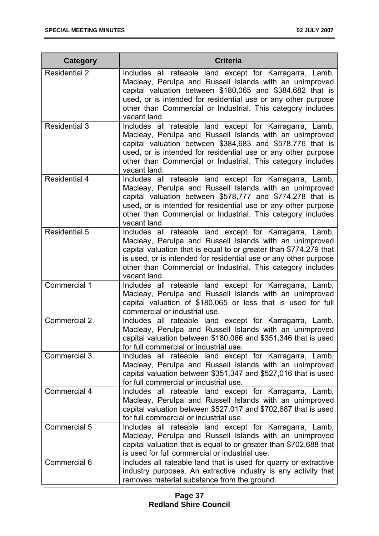| <b>Category</b>      | <b>Criteria</b>                                                                                                                                                                                                                                                                                                                            |
|----------------------|--------------------------------------------------------------------------------------------------------------------------------------------------------------------------------------------------------------------------------------------------------------------------------------------------------------------------------------------|
| <b>Residential 2</b> | Includes all rateable land except for Karragarra, Lamb,<br>Macleay, Perulpa and Russell Islands with an unimproved<br>capital valuation between \$180,065 and \$384,682 that is<br>used, or is intended for residential use or any other purpose<br>other than Commercial or Industrial. This category includes<br>vacant land.            |
| <b>Residential 3</b> | Includes all rateable land except for Karragarra, Lamb,<br>Macleay, Perulpa and Russell Islands with an unimproved<br>capital valuation between \$384,683 and \$578,776 that is<br>used, or is intended for residential use or any other purpose<br>other than Commercial or Industrial. This category includes<br>vacant land.            |
| <b>Residential 4</b> | Includes all rateable land except for Karragarra, Lamb,<br>Macleay, Perulpa and Russell Islands with an unimproved<br>capital valuation between \$578,777 and \$774,278 that is<br>used, or is intended for residential use or any other purpose<br>other than Commercial or Industrial. This category includes<br>vacant land.            |
| <b>Residential 5</b> | Includes all rateable land except for Karragarra, Lamb,<br>Macleay, Perulpa and Russell Islands with an unimproved<br>capital valuation that is equal to or greater than \$774,279 that<br>is used, or is intended for residential use or any other purpose<br>other than Commercial or Industrial. This category includes<br>vacant land. |
| Commercial 1         | Includes all rateable land except for Karragarra, Lamb,<br>Macleay, Perulpa and Russell Islands with an unimproved<br>capital valuation of \$180,065 or less that is used for full<br>commercial or industrial use.                                                                                                                        |
| <b>Commercial 2</b>  | Includes all rateable land except for Karragarra, Lamb,<br>Macleay, Perulpa and Russell Islands with an unimproved<br>capital valuation between \$180,066 and \$351,346 that is used<br>for full commercial or industrial use.                                                                                                             |
| Commercial 3         | Includes all rateable land except for Karragarra, Lamb,<br>Macleay, Perulpa and Russell Islands with an unimproved<br>capital valuation between \$351,347 and \$527,016 that is used<br>for full commercial or industrial use.                                                                                                             |
| Commercial 4         | Includes all rateable land except for Karragarra, Lamb,<br>Macleay, Perulpa and Russell Islands with an unimproved<br>capital valuation between \$527,017 and \$702,687 that is used<br>for full commercial or industrial use.                                                                                                             |
| Commercial 5         | Includes all rateable land except for Karragarra, Lamb,<br>Macleay, Perulpa and Russell Islands with an unimproved<br>capital valuation that is equal to or greater than \$702,688 that<br>is used for full commercial or industrial use.                                                                                                  |
| Commercial 6         | Includes all rateable land that is used for quarry or extractive<br>industry purposes. An extractive industry is any activity that<br>removes material substance from the ground.                                                                                                                                                          |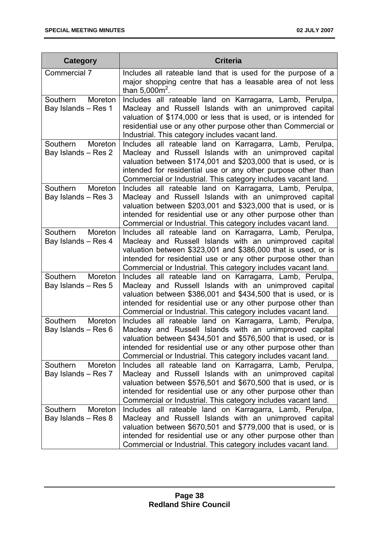| Category                                   | <b>Criteria</b>                                                                                                                                                                                                                                                                                                      |
|--------------------------------------------|----------------------------------------------------------------------------------------------------------------------------------------------------------------------------------------------------------------------------------------------------------------------------------------------------------------------|
| Commercial 7                               | Includes all rateable land that is used for the purpose of a<br>major shopping centre that has a leasable area of not less<br>than $5,000m^2$ .                                                                                                                                                                      |
| Southern<br>Moreton<br>Bay Islands - Res 1 | Includes all rateable land on Karragarra, Lamb, Perulpa,<br>Macleay and Russell Islands with an unimproved capital<br>valuation of \$174,000 or less that is used, or is intended for<br>residential use or any other purpose other than Commercial or<br>Industrial. This category includes vacant land.            |
| Southern<br>Moreton<br>Bay Islands - Res 2 | Includes all rateable land on Karragarra, Lamb, Perulpa,<br>Macleay and Russell Islands with an unimproved capital<br>valuation between \$174,001 and \$203,000 that is used, or is<br>intended for residential use or any other purpose other than<br>Commercial or Industrial. This category includes vacant land. |
| Southern<br>Moreton<br>Bay Islands - Res 3 | Includes all rateable land on Karragarra, Lamb, Perulpa,<br>Macleay and Russell Islands with an unimproved capital<br>valuation between \$203,001 and \$323,000 that is used, or is<br>intended for residential use or any other purpose other than<br>Commercial or Industrial. This category includes vacant land. |
| Southern<br>Moreton<br>Bay Islands - Res 4 | Includes all rateable land on Karragarra, Lamb, Perulpa,<br>Macleay and Russell Islands with an unimproved capital<br>valuation between \$323,001 and \$386,000 that is used, or is<br>intended for residential use or any other purpose other than<br>Commercial or Industrial. This category includes vacant land. |
| Southern<br>Moreton<br>Bay Islands - Res 5 | Includes all rateable land on Karragarra, Lamb, Perulpa,<br>Macleay and Russell Islands with an unimproved capital<br>valuation between \$386,001 and \$434,500 that is used, or is<br>intended for residential use or any other purpose other than<br>Commercial or Industrial. This category includes vacant land. |
| Southern<br>Moreton<br>Bay Islands - Res 6 | Includes all rateable land on Karragarra, Lamb, Perulpa,<br>Macleay and Russell Islands with an unimproved capital<br>valuation between \$434,501 and \$576,500 that is used, or is<br>intended for residential use or any other purpose other than<br>Commercial or Industrial. This category includes vacant land. |
| Southern<br>Moreton<br>Bay Islands - Res 7 | Includes all rateable land on Karragarra, Lamb, Perulpa,<br>Macleay and Russell Islands with an unimproved capital<br>valuation between \$576,501 and \$670,500 that is used, or is<br>intended for residential use or any other purpose other than<br>Commercial or Industrial. This category includes vacant land. |
| Southern<br>Moreton<br>Bay Islands - Res 8 | Includes all rateable land on Karragarra, Lamb, Perulpa,<br>Macleay and Russell Islands with an unimproved capital<br>valuation between \$670,501 and \$779,000 that is used, or is<br>intended for residential use or any other purpose other than<br>Commercial or Industrial. This category includes vacant land. |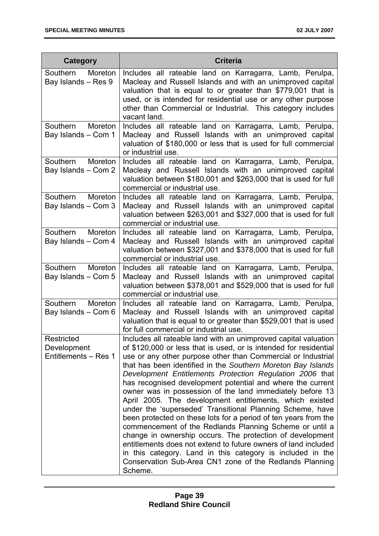| Category                                          | <b>Criteria</b>                                                                                                                                                                                                                                                                                                                                                                                                                                                                                                                                                                                                                                                                                                                                                                                                                                                                                                                                                                      |
|---------------------------------------------------|--------------------------------------------------------------------------------------------------------------------------------------------------------------------------------------------------------------------------------------------------------------------------------------------------------------------------------------------------------------------------------------------------------------------------------------------------------------------------------------------------------------------------------------------------------------------------------------------------------------------------------------------------------------------------------------------------------------------------------------------------------------------------------------------------------------------------------------------------------------------------------------------------------------------------------------------------------------------------------------|
| Southern<br>Moreton<br>Bay Islands - Res 9        | Includes all rateable land on Karragarra, Lamb, Perulpa,<br>Macleay and Russell Islands and with an unimproved capital<br>valuation that is equal to or greater than \$779,001 that is<br>used, or is intended for residential use or any other purpose<br>other than Commercial or Industrial. This category includes<br>vacant land.                                                                                                                                                                                                                                                                                                                                                                                                                                                                                                                                                                                                                                               |
| Southern Moreton<br>Bay Islands - Com 1           | Includes all rateable land on Karragarra, Lamb, Perulpa,<br>Macleay and Russell Islands with an unimproved capital<br>valuation of \$180,000 or less that is used for full commercial<br>or industrial use.                                                                                                                                                                                                                                                                                                                                                                                                                                                                                                                                                                                                                                                                                                                                                                          |
| Southern Moreton<br>Bay Islands - Com 2           | Includes all rateable land on Karragarra, Lamb, Perulpa,<br>Macleay and Russell Islands with an unimproved capital<br>valuation between \$180,001 and \$263,000 that is used for full<br>commercial or industrial use.                                                                                                                                                                                                                                                                                                                                                                                                                                                                                                                                                                                                                                                                                                                                                               |
| Southern<br>Moreton<br>Bay Islands - Com 3        | Includes all rateable land on Karragarra, Lamb, Perulpa,<br>Macleay and Russell Islands with an unimproved capital<br>valuation between \$263,001 and \$327,000 that is used for full<br>commercial or industrial use.                                                                                                                                                                                                                                                                                                                                                                                                                                                                                                                                                                                                                                                                                                                                                               |
| Southern Moreton<br>Bay Islands - Com 4           | Includes all rateable land on Karragarra, Lamb, Perulpa,<br>Macleay and Russell Islands with an unimproved capital<br>valuation between \$327,001 and \$378,000 that is used for full<br>commercial or industrial use.                                                                                                                                                                                                                                                                                                                                                                                                                                                                                                                                                                                                                                                                                                                                                               |
| Southern Moreton<br>Bay Islands - Com 5           | Includes all rateable land on Karragarra, Lamb, Perulpa,<br>Macleay and Russell Islands with an unimproved capital<br>valuation between \$378,001 and \$529,000 that is used for full<br>commercial or industrial use.                                                                                                                                                                                                                                                                                                                                                                                                                                                                                                                                                                                                                                                                                                                                                               |
| Moreton<br>Southern<br>Bay Islands - Com 6        | Includes all rateable land on Karragarra, Lamb, Perulpa,<br>Macleay and Russell Islands with an unimproved capital<br>valuation that is equal to or greater than \$529,001 that is used<br>for full commercial or industrial use.                                                                                                                                                                                                                                                                                                                                                                                                                                                                                                                                                                                                                                                                                                                                                    |
| Restricted<br>Development<br>Entitlements - Res 1 | Includes all rateable land with an unimproved capital valuation<br>of \$120,000 or less that is used, or is intended for residential<br>use or any other purpose other than Commercial or Industrial<br>that has been identified in the Southern Moreton Bay Islands<br>Development Entitlements Protection Regulation 2006 that<br>has recognised development potential and where the current<br>owner was in possession of the land immediately before 13<br>April 2005. The development entitlements, which existed<br>under the 'superseded' Transitional Planning Scheme, have<br>been protected on these lots for a period of ten years from the<br>commencement of the Redlands Planning Scheme or until a<br>change in ownership occurs. The protection of development<br>entitlements does not extend to future owners of land included<br>in this category. Land in this category is included in the<br>Conservation Sub-Area CN1 zone of the Redlands Planning<br>Scheme. |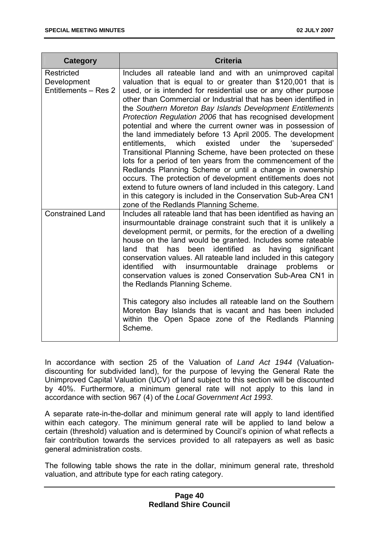| Category                                          | <b>Criteria</b>                                                                                                                                                                                                                                                                                                                                                                                                                                                                                                                                                                                                                                                                                                                                                                                                                                                                                                                                                                                                               |
|---------------------------------------------------|-------------------------------------------------------------------------------------------------------------------------------------------------------------------------------------------------------------------------------------------------------------------------------------------------------------------------------------------------------------------------------------------------------------------------------------------------------------------------------------------------------------------------------------------------------------------------------------------------------------------------------------------------------------------------------------------------------------------------------------------------------------------------------------------------------------------------------------------------------------------------------------------------------------------------------------------------------------------------------------------------------------------------------|
| Restricted<br>Development<br>Entitlements - Res 2 | Includes all rateable land and with an unimproved capital<br>valuation that is equal to or greater than \$120,001 that is<br>used, or is intended for residential use or any other purpose<br>other than Commercial or Industrial that has been identified in<br>the Southern Moreton Bay Islands Development Entitlements<br>Protection Regulation 2006 that has recognised development<br>potential and where the current owner was in possession of<br>the land immediately before 13 April 2005. The development<br>entitlements,<br>which<br>existed<br>under<br>the<br>'superseded'<br>Transitional Planning Scheme, have been protected on these<br>lots for a period of ten years from the commencement of the<br>Redlands Planning Scheme or until a change in ownership<br>occurs. The protection of development entitlements does not<br>extend to future owners of land included in this category. Land<br>in this category is included in the Conservation Sub-Area CN1<br>zone of the Redlands Planning Scheme. |
| <b>Constrained Land</b>                           | Includes all rateable land that has been identified as having an<br>insurmountable drainage constraint such that it is unlikely a<br>development permit, or permits, for the erection of a dwelling<br>house on the land would be granted. Includes some rateable<br>that<br>identified<br>has<br>been<br>having<br>significant<br>land<br>as<br>conservation values. All rateable land included in this category<br>drainage<br>identified<br>with<br>insurmountable<br>problems<br>or<br>conservation values is zoned Conservation Sub-Area CN1 in<br>the Redlands Planning Scheme.<br>This category also includes all rateable land on the Southern<br>Moreton Bay Islands that is vacant and has been included<br>within the Open Space zone of the Redlands Planning<br>Scheme.                                                                                                                                                                                                                                          |

In accordance with section 25 of the Valuation of *Land Act 1944* (Valuationdiscounting for subdivided land), for the purpose of levying the General Rate the Unimproved Capital Valuation (UCV) of land subject to this section will be discounted by 40%. Furthermore, a minimum general rate will not apply to this land in accordance with section 967 (4) of the *Local Government Act 1993*.

A separate rate-in-the-dollar and minimum general rate will apply to land identified within each category. The minimum general rate will be applied to land below a certain (threshold) valuation and is determined by Council's opinion of what reflects a fair contribution towards the services provided to all ratepayers as well as basic general administration costs.

The following table shows the rate in the dollar, minimum general rate, threshold valuation, and attribute type for each rating category.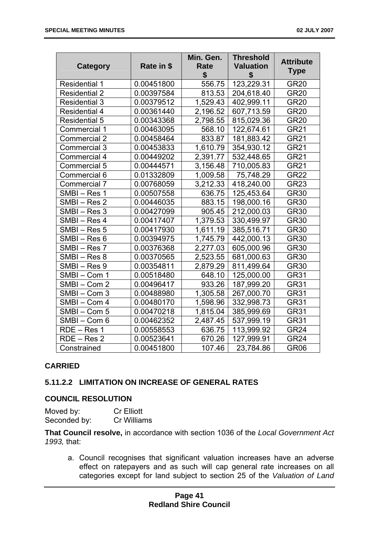| Category             | Rate in \$ | Min. Gen.<br>Rate<br>\$ | <b>Threshold</b><br><b>Valuation</b><br>\$ | <b>Attribute</b><br><b>Type</b> |
|----------------------|------------|-------------------------|--------------------------------------------|---------------------------------|
| <b>Residential 1</b> | 0.00451800 | 556.75                  | 123,229.31                                 | <b>GR20</b>                     |
| <b>Residential 2</b> | 0.00397584 | 813.53                  | 204,618.40                                 | <b>GR20</b>                     |
| <b>Residential 3</b> | 0.00379512 | 1,529.43                | 402,999.11                                 | <b>GR20</b>                     |
| <b>Residential 4</b> | 0.00361440 | 2,196.52                | 607,713.59                                 | <b>GR20</b>                     |
| <b>Residential 5</b> | 0.00343368 | 2,798.55                | 815,029.36                                 | <b>GR20</b>                     |
| Commercial 1         | 0.00463095 | 568.10                  | 122,674.61                                 | <b>GR21</b>                     |
| <b>Commercial 2</b>  | 0.00458464 | 833.87                  | 181,883.42                                 | <b>GR21</b>                     |
| Commercial 3         | 0.00453833 | 1,610.79                | 354,930.12                                 | <b>GR21</b>                     |
| Commercial 4         | 0.00449202 | 2,391.77                | 532,448.65                                 | <b>GR21</b>                     |
| Commercial 5         | 0.00444571 | 3,156.48                | 710,005.83                                 | <b>GR21</b>                     |
| Commercial 6         | 0.01332809 | 1,009.58                | 75,748.29                                  | <b>GR22</b>                     |
| Commercial 7         | 0.00768059 | 3,212.33                | 418,240.00                                 | <b>GR23</b>                     |
| SMBI-Res 1           | 0.00507558 | 636.75                  | 125,453.64                                 | <b>GR30</b>                     |
| SMBI-Res 2           | 0.00446035 | 883.15                  | 198,000.16                                 | <b>GR30</b>                     |
| SMBI-Res 3           | 0.00427099 | 905.45                  | 212,000.03                                 | <b>GR30</b>                     |
| SMBI-Res 4           | 0.00417407 | 1,379.53                | 330,499.97                                 | <b>GR30</b>                     |
| SMBI-Res 5           | 0.00417930 | 1,611.19                | 385,516.71                                 | <b>GR30</b>                     |
| SMBI-Res 6           | 0.00394975 | 1,745.79                | 442,000.13                                 | <b>GR30</b>                     |
| SMBI-Res 7           | 0.00376368 | 2,277.03                | 605,000.96                                 | <b>GR30</b>                     |
| SMBI-Res 8           | 0.00370565 | 2,523.55                | 681,000.63                                 | <b>GR30</b>                     |
| SMBI-Res 9           | 0.00354811 | 2,879.29                | 811,499.64                                 | <b>GR30</b>                     |
| SMBI-Com 1           | 0.00518480 | 648.10                  | 125,000.00                                 | <b>GR31</b>                     |
| SMBI-Com 2           | 0.00496417 | 933.26                  | 187,999.20                                 | <b>GR31</b>                     |
| SMBI-Com 3           | 0.00488980 | 1,305.58                | 267,000.70                                 | <b>GR31</b>                     |
| SMBI-Com 4           | 0.00480170 | 1,598.96                | 332,998.73                                 | <b>GR31</b>                     |
| SMBI-Com 5           | 0.00470218 | 1,815.04                | 385,999.69                                 | <b>GR31</b>                     |
| SMBI-Com 6           | 0.00462352 | 2,487.45                | 537,999.19                                 | <b>GR31</b>                     |
| RDE - Res 1          | 0.00558553 | 636.75                  | 113,999.92                                 | GR <sub>24</sub>                |
| $RDE - Res 2$        | 0.00523641 | 670.26                  | 127,999.91                                 | GR <sub>24</sub>                |
| Constrained          | 0.00451800 | 107.46                  | 23,784.86                                  | <b>GR06</b>                     |

# **CARRIED**

# **5.11.2.2 LIMITATION ON INCREASE OF GENERAL RATES**

#### **COUNCIL RESOLUTION**

| Moved by:    | <b>Cr Elliott</b> |
|--------------|-------------------|
| Seconded by: | Cr Williams       |

**That Council resolve,** in accordance with section 1036 of the *Local Government Act 1993,* that:

a. Council recognises that significant valuation increases have an adverse effect on ratepayers and as such will cap general rate increases on all categories except for land subject to section 25 of the *Valuation of Land*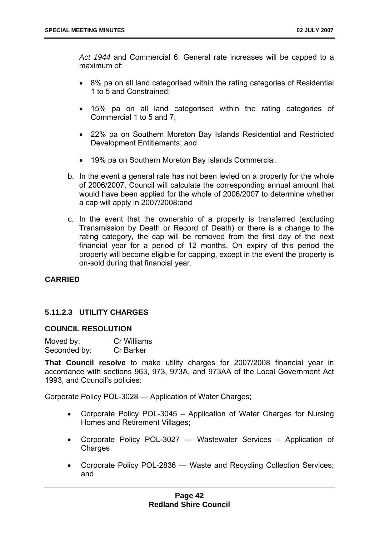*Act 1944* and Commercial 6. General rate increases will be capped to a maximum of:

- 8% pa on all land categorised within the rating categories of Residential 1 to 5 and Constrained;
- 15% pa on all land categorised within the rating categories of Commercial 1 to 5 and 7;
- 22% pa on Southern Moreton Bay Islands Residential and Restricted Development Entitlements; and
- 19% pa on Southern Moreton Bay Islands Commercial.
- b. In the event a general rate has not been levied on a property for the whole of 2006/2007, Council will calculate the corresponding annual amount that would have been applied for the whole of 2006/2007 to determine whether a cap will apply in 2007/2008:and
- c. In the event that the ownership of a property is transferred (excluding Transmission by Death or Record of Death) or there is a change to the rating category, the cap will be removed from the first day of the next financial year for a period of 12 months. On expiry of this period the property will become eligible for capping, except in the event the property is on-sold during that financial year.

# **CARRIED**

# **5.11.2.3 UTILITY CHARGES**

# **COUNCIL RESOLUTION**

Moved by: Cr Williams Seconded by: Cr Barker

**That Council resolve** to make utility charges for 2007/2008 financial year in accordance with sections 963, 973, 973A, and 973AA of the Local Government Act 1993, and Council's policies:

Corporate Policy POL-3028 ― Application of Water Charges;

- Corporate Policy POL-3045 Application of Water Charges for Nursing Homes and Retirement Villages;
- Corporate Policy POL-3027 ― Wastewater Services Application of **Charges**
- Corporate Policy POL-2836 ― Waste and Recycling Collection Services; and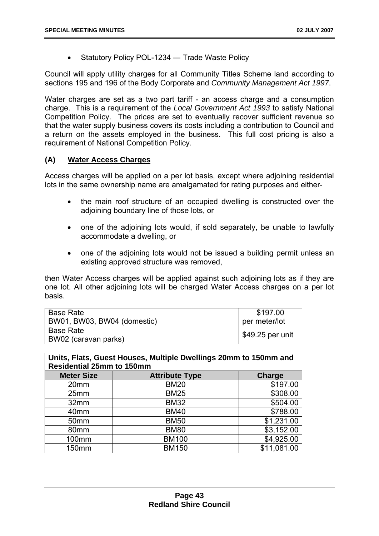Statutory Policy POL-1234 ― Trade Waste Policy

Council will apply utility charges for all Community Titles Scheme land according to sections 195 and 196 of the Body Corporate and *Community Management Act 1997*.

Water charges are set as a two part tariff - an access charge and a consumption charge. This is a requirement of the *Local Government Act 1993* to satisfy National Competition Policy. The prices are set to eventually recover sufficient revenue so that the water supply business covers its costs including a contribution to Council and a return on the assets employed in the business. This full cost pricing is also a requirement of National Competition Policy.

# **(A) Water Access Charges**

Access charges will be applied on a per lot basis, except where adjoining residential lots in the same ownership name are amalgamated for rating purposes and either-

- the main roof structure of an occupied dwelling is constructed over the adjoining boundary line of those lots, or
- one of the adjoining lots would, if sold separately, be unable to lawfully accommodate a dwelling, or
- one of the adjoining lots would not be issued a building permit unless an existing approved structure was removed,

then Water Access charges will be applied against such adjoining lots as if they are one lot. All other adjoining lots will be charged Water Access charges on a per lot basis.

| l Base Rate<br>BW01, BW03, BW04 (domestic) | \$197.00<br>per meter/lot |
|--------------------------------------------|---------------------------|
| l Base Rate                                |                           |
| BW02 (caravan parks)                       | \$49.25 per unit          |

**Units, Flats, Guest Houses, Multiple Dwellings 20mm to 150mm and Residential 25mm to 150mm** 

| <b>Meter Size</b> | <b>Attribute Type</b> | <b>Charge</b> |
|-------------------|-----------------------|---------------|
| 20 <sub>mm</sub>  | <b>BM20</b>           | \$197.00      |
| 25mm              | <b>BM25</b>           | \$308.00      |
| 32mm              | <b>BM32</b>           | \$504.00      |
| 40 <sub>mm</sub>  | <b>BM40</b>           | \$788.00      |
| 50 <sub>mm</sub>  | <b>BM50</b>           | \$1,231.00    |
| 80 <sub>mm</sub>  | <b>BM80</b>           | \$3,152.00    |
| 100mm             | <b>BM100</b>          | \$4,925.00    |
| 150mm             | <b>BM150</b>          | \$11,081.00   |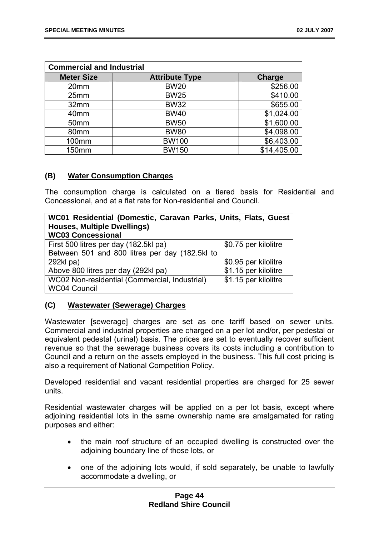| <b>Commercial and Industrial</b> |                       |               |  |  |
|----------------------------------|-----------------------|---------------|--|--|
| <b>Meter Size</b>                | <b>Attribute Type</b> | <b>Charge</b> |  |  |
| 20mm                             | <b>BW20</b>           | \$256.00      |  |  |
| 25mm                             | <b>BW25</b>           | \$410.00      |  |  |
| 32mm                             | <b>BW32</b>           | \$655.00      |  |  |
| 40mm                             | <b>BW40</b>           | \$1,024.00    |  |  |
| 50 <sub>mm</sub>                 | <b>BW50</b>           | \$1,600.00    |  |  |
| 80mm                             | <b>BW80</b>           | \$4,098.00    |  |  |
| 100mm                            | <b>BW100</b>          | \$6,403.00    |  |  |
| <b>150mm</b>                     | <b>BW150</b>          | \$14,405.00   |  |  |

# **(B) Water Consumption Charges**

The consumption charge is calculated on a tiered basis for Residential and Concessional, and at a flat rate for Non-residential and Council.

| WC01 Residential (Domestic, Caravan Parks, Units, Flats, Guest |                      |  |  |  |  |  |
|----------------------------------------------------------------|----------------------|--|--|--|--|--|
| <b>Houses, Multiple Dwellings)</b>                             |                      |  |  |  |  |  |
| <b>WC03 Concessional</b>                                       |                      |  |  |  |  |  |
| First 500 litres per day (182.5kl pa)                          | \$0.75 per kilolitre |  |  |  |  |  |
| Between 501 and 800 litres per day (182.5kl to                 |                      |  |  |  |  |  |
| 292kl pa)                                                      | \$0.95 per kilolitre |  |  |  |  |  |
| Above 800 litres per day (292kl pa)                            | \$1.15 per kilolitre |  |  |  |  |  |
| WC02 Non-residential (Commercial, Industrial)                  | \$1.15 per kilolitre |  |  |  |  |  |
| <b>WC04 Council</b>                                            |                      |  |  |  |  |  |

# **(C) Wastewater (Sewerage) Charges**

Wastewater [sewerage] charges are set as one tariff based on sewer units. Commercial and industrial properties are charged on a per lot and/or, per pedestal or equivalent pedestal (urinal) basis. The prices are set to eventually recover sufficient revenue so that the sewerage business covers its costs including a contribution to Council and a return on the assets employed in the business. This full cost pricing is also a requirement of National Competition Policy.

Developed residential and vacant residential properties are charged for 25 sewer units.

Residential wastewater charges will be applied on a per lot basis, except where adjoining residential lots in the same ownership name are amalgamated for rating purposes and either:

- the main roof structure of an occupied dwelling is constructed over the adjoining boundary line of those lots, or
- one of the adjoining lots would, if sold separately, be unable to lawfully accommodate a dwelling, or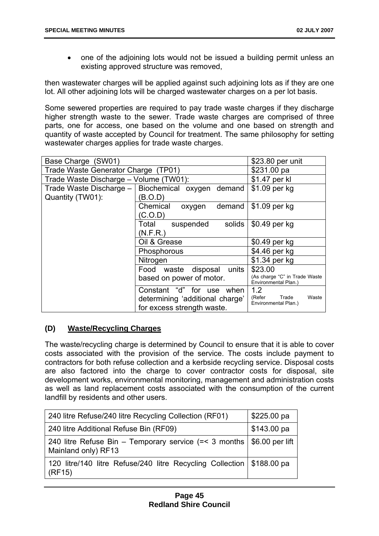one of the adjoining lots would not be issued a building permit unless an existing approved structure was removed,

then wastewater charges will be applied against such adjoining lots as if they are one lot. All other adjoining lots will be charged wastewater charges on a per lot basis.

Some sewered properties are required to pay trade waste charges if they discharge higher strength waste to the sewer. Trade waste charges are comprised of three parts, one for access, one based on the volume and one based on strength and quantity of waste accepted by Council for treatment. The same philosophy for setting wastewater charges applies for trade waste charges.

| Base Charge (SW01)                     | \$23.80 per unit                                                                           |                                                         |
|----------------------------------------|--------------------------------------------------------------------------------------------|---------------------------------------------------------|
| Trade Waste Generator Charge (TP01)    | \$231.00 pa                                                                                |                                                         |
| Trade Waste Discharge - Volume (TW01): |                                                                                            | \$1.47 per kl                                           |
|                                        | Trade Waste Discharge – Biochemical oxygen demand                                          | \$1.09 per kg                                           |
| Quantity (TW01):                       | B.O.D                                                                                      |                                                         |
|                                        | Chemical<br>demand<br>oxygen                                                               | \$1.09 per kg                                           |
|                                        | C.O.D                                                                                      |                                                         |
|                                        | \$0.49 per kg<br>solids                                                                    |                                                         |
|                                        | (N.F.R.)                                                                                   |                                                         |
|                                        | Oil & Grease                                                                               | \$0.49 per kg                                           |
|                                        | Phosphorous                                                                                | \$4.46 per kg                                           |
|                                        | Nitrogen                                                                                   | \$1.34 per kg                                           |
|                                        | Food waste disposal units                                                                  | \$23.00                                                 |
|                                        | based on power of motor.                                                                   | (As charge "C" in Trade Waste<br>Environmental Plan.)   |
|                                        | Constant "d" for use when<br>determining 'additional charge'<br>for excess strength waste. | 1.2<br>(Refer<br>Waste<br>Trade<br>Environmental Plan.) |

# **(D) Waste/Recycling Charges**

The waste/recycling charge is determined by Council to ensure that it is able to cover costs associated with the provision of the service. The costs include payment to contractors for both refuse collection and a kerbside recycling service. Disposal costs are also factored into the charge to cover contractor costs for disposal, site development works, environmental monitoring, management and administration costs as well as land replacement costs associated with the consumption of the current landfill by residents and other users.

| 240 litre Refuse/240 litre Recycling Collection (RF01)                            | \$225.00 pa         |
|-----------------------------------------------------------------------------------|---------------------|
| 240 litre Additional Refuse Bin (RF09)                                            | $$143.00\text{ pa}$ |
| 240 litre Refuse Bin – Temporary service $(=$ 3 months<br>Mainland only) RF13     | $$6.00$ per lift    |
| 120 litre/140 litre Refuse/240 litre Recycling Collection   \$188.00 pa<br>(RF15) |                     |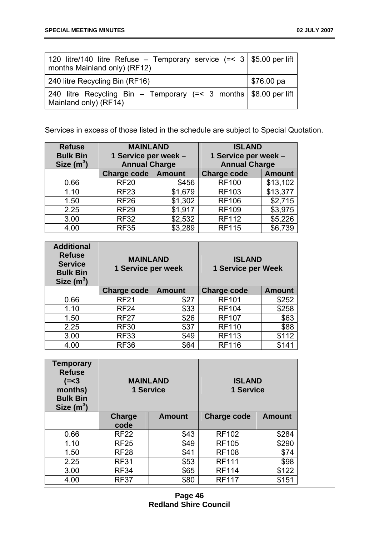| 120 litre/140 litre Refuse – Temporary service (=< 3   \$5.00 per lift  <br>months Mainland only) (RF12) |                     |
|----------------------------------------------------------------------------------------------------------|---------------------|
| 240 litre Recycling Bin (RF16)                                                                           | $$76.00\,\text{pa}$ |
| 240 litre Recycling Bin – Temporary (=< 3 months   \$8.00 per lift<br>Mainland only) (RF14)              |                     |

Services in excess of those listed in the schedule are subject to Special Quotation.

| <b>Refuse</b><br><b>Bulk Bin</b> | <b>MAINLAND</b><br>1 Service per week - |         | <b>ISLAND</b><br>1 Service per week - |               |
|----------------------------------|-----------------------------------------|---------|---------------------------------------|---------------|
| Size $(m^3)$                     | <b>Annual Charge</b>                    |         | <b>Annual Charge</b>                  |               |
|                                  | Charge code   Amount                    |         | <b>Charge code</b>                    | <b>Amount</b> |
| 0.66                             | <b>RF20</b>                             | \$456   | <b>RF100</b>                          | \$13,102      |
| 1.10                             | <b>RF23</b>                             | \$1,679 | <b>RF103</b>                          | \$13,377      |
| 1.50                             | <b>RF26</b>                             | \$1,302 | <b>RF106</b>                          | \$2,715       |
| 2.25                             | <b>RF29</b>                             | \$1,917 | <b>RF109</b>                          | \$3,975       |
| 3.00                             | <b>RF32</b>                             | \$2,532 | <b>RF112</b>                          | \$5,226       |
| 4.00                             | <b>RF35</b>                             | \$3,289 | <b>RF115</b>                          | \$6,739       |

| <b>Additional</b><br><b>Refuse</b><br><b>Service</b><br><b>Bulk Bin</b><br>Size $(m^3)$ | <b>MAINLAND</b><br>1 Service per week |               | <b>ISLAND</b><br>1 Service per Week |               |
|-----------------------------------------------------------------------------------------|---------------------------------------|---------------|-------------------------------------|---------------|
|                                                                                         | <b>Charge code</b>                    | <b>Amount</b> | <b>Charge code</b>                  | <b>Amount</b> |
| 0.66                                                                                    | <b>RF21</b>                           | \$27          | <b>RF101</b>                        | \$252         |
| 1.10                                                                                    | <b>RF24</b>                           | \$33          | <b>RF104</b>                        | \$258         |
| 1.50                                                                                    | <b>RF27</b>                           | \$26          | <b>RF107</b>                        | \$63          |
| 2.25                                                                                    | <b>RF30</b>                           | \$37          | <b>RF110</b>                        | \$88          |
| 3.00                                                                                    | <b>RF33</b>                           | \$49          | <b>RF113</b>                        | \$112         |
| 4.00                                                                                    | <b>RF36</b>                           | \$64          | <b>RF116</b>                        | \$141         |

| <b>Temporary</b><br><b>Refuse</b><br>$(=<3)$<br>months)<br><b>Bulk Bin</b><br>Size $(m^3)$ |               | <b>MAINLAND</b><br>1 Service | <b>ISLAND</b><br>1 Service |               |
|--------------------------------------------------------------------------------------------|---------------|------------------------------|----------------------------|---------------|
|                                                                                            | <b>Charge</b> | <b>Amount</b>                | Charge code                | <b>Amount</b> |
|                                                                                            | code          |                              |                            |               |
| 0.66                                                                                       | <b>RF22</b>   | \$43                         | <b>RF102</b>               | \$284         |
| 1.10                                                                                       | <b>RF25</b>   | \$49                         | <b>RF105</b>               | \$290         |
| 1.50                                                                                       | <b>RF28</b>   | \$41                         | <b>RF108</b>               | \$74          |
| 2.25                                                                                       | <b>RF31</b>   | \$53                         | <b>RF111</b>               | \$98          |
| 3.00                                                                                       | <b>RF34</b>   | \$65                         | <b>RF114</b>               | \$122         |
| 4.00                                                                                       | <b>RF37</b>   | \$80                         | <b>RF117</b>               | \$151         |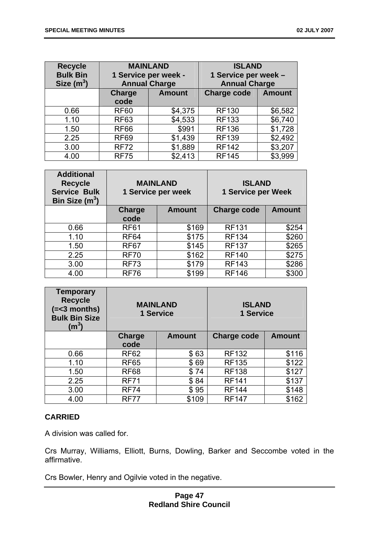| <b>Recycle</b><br><b>Bulk Bin</b><br>Size $(m^3)$ | <b>MAINLAND</b><br>1 Service per week -<br><b>Annual Charge</b> |               | <b>ISLAND</b><br>1 Service per week -<br><b>Annual Charge</b> |               |
|---------------------------------------------------|-----------------------------------------------------------------|---------------|---------------------------------------------------------------|---------------|
|                                                   | Charge                                                          | <b>Amount</b> |                                                               | <b>Amount</b> |
|                                                   | code                                                            |               |                                                               |               |
| 0.66                                              | <b>RF60</b>                                                     | \$4,375       | <b>RF130</b>                                                  | \$6,582       |
| 1.10                                              | <b>RF63</b>                                                     | \$4,533       | <b>RF133</b>                                                  | \$6,740       |
| 1.50                                              | <b>RF66</b>                                                     | \$991         | <b>RF136</b>                                                  | \$1,728       |
| 2.25                                              | <b>RF69</b>                                                     | \$1,439       | <b>RF139</b>                                                  | \$2,492       |
| 3.00                                              | <b>RF72</b>                                                     | \$1,889       | <b>RF142</b>                                                  | \$3,207       |
| 4.00                                              | <b>RF75</b>                                                     | \$2,413       | <b>RF145</b>                                                  | \$3,999       |

| <b>Additional</b><br><b>Recycle</b><br><b>Service Bulk</b><br>Bin Size $(m^3)$ |                | <b>MAINLAND</b><br>1 Service per week | <b>ISLAND</b><br><b>1 Service per Week</b> |               |
|--------------------------------------------------------------------------------|----------------|---------------------------------------|--------------------------------------------|---------------|
|                                                                                | Charge<br>code | <b>Amount</b>                         | <b>Charge code</b>                         | <b>Amount</b> |
| 0.66                                                                           | <b>RF61</b>    | \$169                                 | <b>RF131</b>                               | \$254         |
| 1.10                                                                           | <b>RF64</b>    | \$175                                 | <b>RF134</b>                               | \$260         |
| 1.50                                                                           | <b>RF67</b>    | \$145                                 | <b>RF137</b>                               | \$265         |
| 2.25                                                                           | <b>RF70</b>    | \$162                                 | <b>RF140</b>                               | \$275         |
| 3.00                                                                           | <b>RF73</b>    | \$179                                 | <b>RF143</b>                               | \$286         |
| 4.00                                                                           | <b>RF76</b>    | \$199                                 | <b>RF146</b>                               | \$300         |

| <b>Temporary</b><br><b>Recycle</b><br>$(=<3$ months)<br><b>Bulk Bin Size</b><br>$\rm (m^3)$ |             | <b>MAINLAND</b><br>1 Service | <b>ISLAND</b><br>1 Service |               |
|---------------------------------------------------------------------------------------------|-------------|------------------------------|----------------------------|---------------|
|                                                                                             | Charge      | <b>Amount</b>                | Charge code                | <b>Amount</b> |
|                                                                                             | code        |                              |                            |               |
| 0.66                                                                                        | <b>RF62</b> | \$63                         | <b>RF132</b>               | \$116         |
| 1.10                                                                                        | <b>RF65</b> | \$69                         | <b>RF135</b>               | \$122         |
| 1.50                                                                                        | <b>RF68</b> | \$74                         | <b>RF138</b>               | \$127         |
| 2.25                                                                                        | <b>RF71</b> | \$84                         | <b>RF141</b>               | \$137         |
| 3.00                                                                                        | <b>RF74</b> | \$95                         | <b>RF144</b>               | \$148         |
| 4.00                                                                                        | <b>RF77</b> | \$109                        | <b>RF147</b>               | \$162         |

# **CARRIED**

A division was called for.

Crs Murray, Williams, Elliott, Burns, Dowling, Barker and Seccombe voted in the affirmative.

Crs Bowler, Henry and Ogilvie voted in the negative.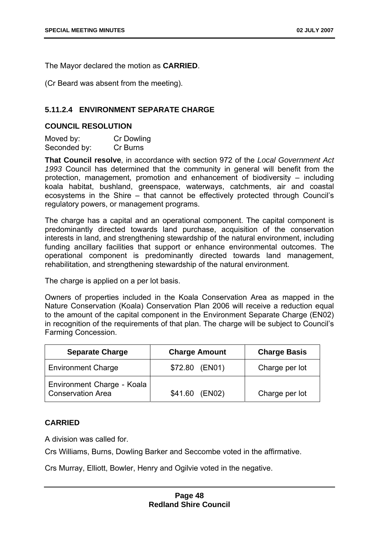The Mayor declared the motion as **CARRIED**.

(Cr Beard was absent from the meeting).

# **5.11.2.4 ENVIRONMENT SEPARATE CHARGE**

# **COUNCIL RESOLUTION**

| Moved by:    | Cr Dowling |
|--------------|------------|
| Seconded by: | Cr Burns   |

**That Council resolve**, in accordance with section 972 of the *Local Government Act 1993* Council has determined that the community in general will benefit from the protection, management, promotion and enhancement of biodiversity – including koala habitat, bushland, greenspace, waterways, catchments, air and coastal ecosystems in the Shire – that cannot be effectively protected through Council's regulatory powers, or management programs.

The charge has a capital and an operational component. The capital component is predominantly directed towards land purchase, acquisition of the conservation interests in land, and strengthening stewardship of the natural environment, including funding ancillary facilities that support or enhance environmental outcomes. The operational component is predominantly directed towards land management, rehabilitation, and strengthening stewardship of the natural environment.

The charge is applied on a per lot basis.

Owners of properties included in the Koala Conservation Area as mapped in the Nature Conservation (Koala) Conservation Plan 2006 will receive a reduction equal to the amount of the capital component in the Environment Separate Charge (EN02) in recognition of the requirements of that plan. The charge will be subject to Council's Farming Concession.

| <b>Separate Charge</b>                          | <b>Charge Amount</b> | <b>Charge Basis</b> |
|-------------------------------------------------|----------------------|---------------------|
| <b>Environment Charge</b>                       | \$72.80<br>(EN01)    | Charge per lot      |
| Environment Charge - Koala<br>Conservation Area | \$41.60<br>(EN02)    | Charge per lot      |

# **CARRIED**

A division was called for.

Crs Williams, Burns, Dowling Barker and Seccombe voted in the affirmative.

Crs Murray, Elliott, Bowler, Henry and Ogilvie voted in the negative.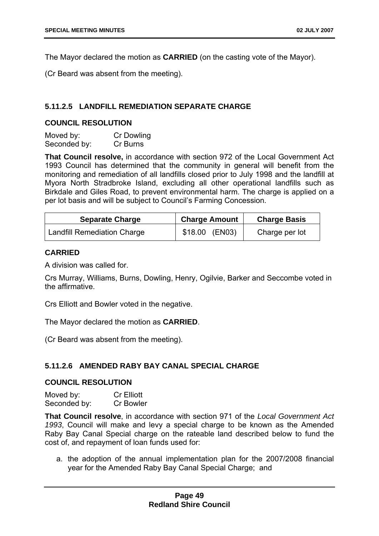The Mayor declared the motion as **CARRIED** (on the casting vote of the Mayor).

(Cr Beard was absent from the meeting).

# **5.11.2.5 LANDFILL REMEDIATION SEPARATE CHARGE**

# **COUNCIL RESOLUTION**

| Moved by:    | Cr Dowling |
|--------------|------------|
| Seconded by: | Cr Burns   |

**That Council resolve,** in accordance with section 972 of the Local Government Act 1993 Council has determined that the community in general will benefit from the monitoring and remediation of all landfills closed prior to July 1998 and the landfill at Myora North Stradbroke Island, excluding all other operational landfills such as Birkdale and Giles Road, to prevent environmental harm. The charge is applied on a per lot basis and will be subject to Council's Farming Concession.

| <b>Separate Charge</b>             | <b>Charge Amount</b> | <b>Charge Basis</b> |
|------------------------------------|----------------------|---------------------|
| <b>Landfill Remediation Charge</b> | \$18.00 (EN03)       | Charge per lot      |

# **CARRIED**

A division was called for.

Crs Murray, Williams, Burns, Dowling, Henry, Ogilvie, Barker and Seccombe voted in the affirmative.

Crs Elliott and Bowler voted in the negative.

The Mayor declared the motion as **CARRIED**.

(Cr Beard was absent from the meeting).

# **5.11.2.6 AMENDED RABY BAY CANAL SPECIAL CHARGE**

# **COUNCIL RESOLUTION**

Moved by: Cr Elliott Seconded by: Cr Bowler

**That Council resolve**, in accordance with section 971 of the *Local Government Act 1993*, Council will make and levy a special charge to be known as the Amended Raby Bay Canal Special charge on the rateable land described below to fund the cost of, and repayment of loan funds used for:

a. the adoption of the annual implementation plan for the 2007/2008 financial year for the Amended Raby Bay Canal Special Charge; and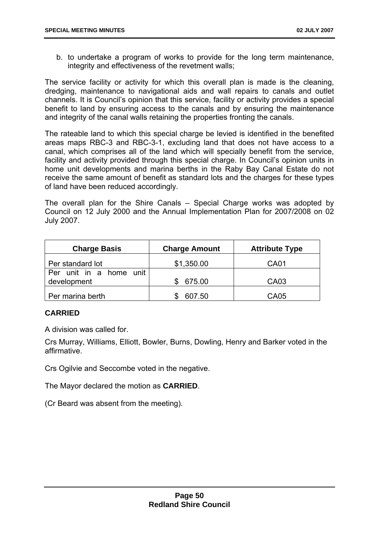b. to undertake a program of works to provide for the long term maintenance, integrity and effectiveness of the revetment walls;

The service facility or activity for which this overall plan is made is the cleaning, dredging, maintenance to navigational aids and wall repairs to canals and outlet channels. It is Council's opinion that this service, facility or activity provides a special benefit to land by ensuring access to the canals and by ensuring the maintenance and integrity of the canal walls retaining the properties fronting the canals.

The rateable land to which this special charge be levied is identified in the benefited areas maps RBC-3 and RBC-3-1, excluding land that does not have access to a canal, which comprises all of the land which will specially benefit from the service, facility and activity provided through this special charge. In Council's opinion units in home unit developments and marina berths in the Raby Bay Canal Estate do not receive the same amount of benefit as standard lots and the charges for these types of land have been reduced accordingly.

The overall plan for the Shire Canals – Special Charge works was adopted by Council on 12 July 2000 and the Annual Implementation Plan for 2007/2008 on 02 July 2007.

| <b>Charge Basis</b>                    | <b>Charge Amount</b> | <b>Attribute Type</b> |
|----------------------------------------|----------------------|-----------------------|
| Per standard lot                       | \$1,350.00           | <b>CA01</b>           |
| Per unit in a home unit<br>development | 675.00               | CA03                  |
| Per marina berth                       | 607.50               | <b>CA05</b>           |

# **CARRIED**

A division was called for.

Crs Murray, Williams, Elliott, Bowler, Burns, Dowling, Henry and Barker voted in the affirmative.

Crs Ogilvie and Seccombe voted in the negative.

The Mayor declared the motion as **CARRIED**.

(Cr Beard was absent from the meeting).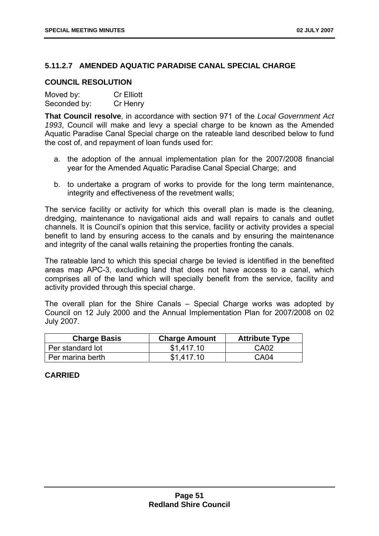# **5.11.2.7 AMENDED AQUATIC PARADISE CANAL SPECIAL CHARGE**

# **COUNCIL RESOLUTION**

| Moved by:    | <b>Cr Elliott</b> |
|--------------|-------------------|
| Seconded by: | Cr Henry          |

**That Council resolve**, in accordance with section 971 of the *Local Government Act 1993*, Council will make and levy a special charge to be known as the Amended Aquatic Paradise Canal Special charge on the rateable land described below to fund the cost of, and repayment of loan funds used for:

- a. the adoption of the annual implementation plan for the 2007/2008 financial year for the Amended Aquatic Paradise Canal Special Charge; and
- b. to undertake a program of works to provide for the long term maintenance, integrity and effectiveness of the revetment walls;

The service facility or activity for which this overall plan is made is the cleaning, dredging, maintenance to navigational aids and wall repairs to canals and outlet channels. It is Council's opinion that this service, facility or activity provides a special benefit to land by ensuring access to the canals and by ensuring the maintenance and integrity of the canal walls retaining the properties fronting the canals.

The rateable land to which this special charge be levied is identified in the benefited areas map APC-3, excluding land that does not have access to a canal, which comprises all of the land which will specially benefit from the service, facility and activity provided through this special charge.

The overall plan for the Shire Canals – Special Charge works was adopted by Council on 12 July 2000 and the Annual Implementation Plan for 2007/2008 on 02 July 2007.

| <b>Charge Basis</b> | <b>Charge Amount</b> | <b>Attribute Type</b> |
|---------------------|----------------------|-----------------------|
| Per standard lot    | \$1.417.10           | CA <sub>02</sub>      |
| Per marina berth    | \$1.417.10           | CA04                  |

# **CARRIED**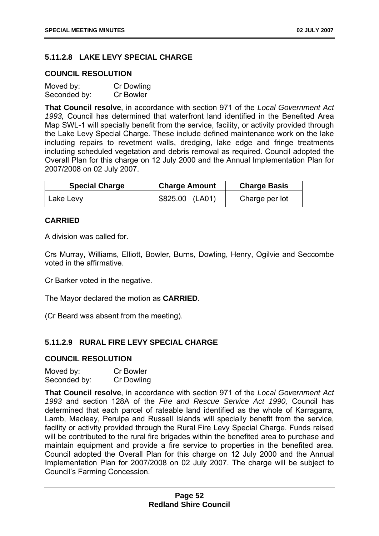# **5.11.2.8 LAKE LEVY SPECIAL CHARGE**

# **COUNCIL RESOLUTION**

| Moved by:    | Cr Dowling       |
|--------------|------------------|
| Seconded by: | <b>Cr Bowler</b> |

**That Council resolve**, in accordance with section 971 of the *Local Government Act 1993,* Council has determined that waterfront land identified in the Benefited Area Map SWL-1 will specially benefit from the service, facility, or activity provided through the Lake Levy Special Charge. These include defined maintenance work on the lake including repairs to revetment walls, dredging, lake edge and fringe treatments including scheduled vegetation and debris removal as required. Council adopted the Overall Plan for this charge on 12 July 2000 and the Annual Implementation Plan for 2007/2008 on 02 July 2007.

| <b>Special Charge</b> | <b>Charge Amount</b> | <b>Charge Basis</b> |
|-----------------------|----------------------|---------------------|
| ∣ Lake Levy           | \$825.00 (LA01)      | Charge per lot      |

# **CARRIED**

A division was called for.

Crs Murray, Williams, Elliott, Bowler, Burns, Dowling, Henry, Ogilvie and Seccombe voted in the affirmative.

Cr Barker voted in the negative.

The Mayor declared the motion as **CARRIED**.

(Cr Beard was absent from the meeting).

# **5.11.2.9 RURAL FIRE LEVY SPECIAL CHARGE**

# **COUNCIL RESOLUTION**

| Moved by:    | <b>Cr Bowler</b> |
|--------------|------------------|
| Seconded by: | Cr Dowling       |

**That Council resolve**, in accordance with section 971 of the *Local Government Act 1993* and section 128A of the *Fire and Rescue Service Act 1990,* Council has determined that each parcel of rateable land identified as the whole of Karragarra, Lamb, Macleay, Perulpa and Russell Islands will specially benefit from the service, facility or activity provided through the Rural Fire Levy Special Charge. Funds raised will be contributed to the rural fire brigades within the benefited area to purchase and maintain equipment and provide a fire service to properties in the benefited area. Council adopted the Overall Plan for this charge on 12 July 2000 and the Annual Implementation Plan for 2007/2008 on 02 July 2007. The charge will be subject to Council's Farming Concession.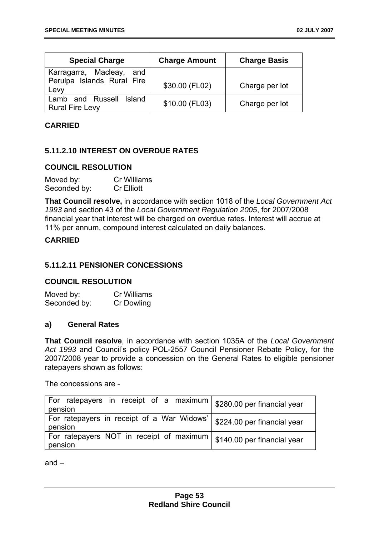| <b>Special Charge</b>                             | <b>Charge Amount</b> | <b>Charge Basis</b> |
|---------------------------------------------------|----------------------|---------------------|
| Karragarra, Macleay, and                          |                      |                     |
| Perulpa Islands Rural Fire<br>Levy                | \$30.00 (FL02)       | Charge per lot      |
| Lamb and Russell Island<br><b>Rural Fire Levy</b> | \$10.00 (FL03)       | Charge per lot      |

# **CARRIED**

# **5.11.2.10 INTEREST ON OVERDUE RATES**

# **COUNCIL RESOLUTION**

| Moved by:    | Cr Williams       |
|--------------|-------------------|
| Seconded by: | <b>Cr Elliott</b> |

**That Council resolve,** in accordance with section 1018 of the *Local Government Act 1993* and section 43 of the *Local Government Regulation 2005*, for 2007/2008 financial year that interest will be charged on overdue rates. Interest will accrue at 11% per annum, compound interest calculated on daily balances.

# **CARRIED**

# **5.11.2.11 PENSIONER CONCESSIONS**

# **COUNCIL RESOLUTION**

Moved by: Cr Williams Seconded by: Cr Dowling

#### **a) General Rates**

**That Council resolve**, in accordance with section 1035A of the *Local Government Act 1993* and Council's policy POL-2557 Council Pensioner Rebate Policy, for the 2007/2008 year to provide a concession on the General Rates to eligible pensioner ratepayers shown as follows:

The concessions are -

| For ratepayers in receipt of a maximum $\frac{1}{2}$ \$280.00 per financial year<br>pension |                             |
|---------------------------------------------------------------------------------------------|-----------------------------|
| For ratepayers in receipt of a War Widows'<br>pension                                       | \$224.00 per financial year |
| For ratepayers NOT in receipt of maximum   \$140.00 per financial year<br>pension           |                             |

and –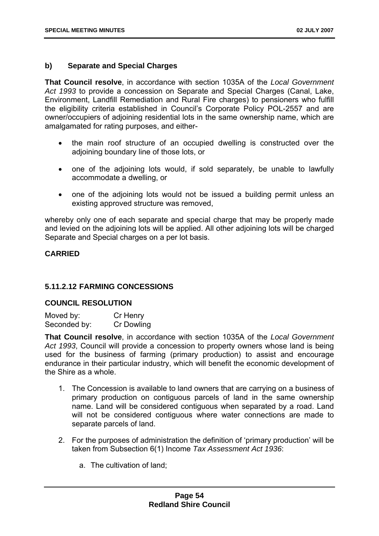# **b) Separate and Special Charges**

**That Council resolve**, in accordance with section 1035A of the *Local Government Act 1993* to provide a concession on Separate and Special Charges (Canal, Lake, Environment, Landfill Remediation and Rural Fire charges) to pensioners who fulfill the eligibility criteria established in Council's Corporate Policy POL-2557 and are owner/occupiers of adjoining residential lots in the same ownership name, which are amalgamated for rating purposes, and either-

- the main roof structure of an occupied dwelling is constructed over the adjoining boundary line of those lots, or
- one of the adjoining lots would, if sold separately, be unable to lawfully accommodate a dwelling, or
- one of the adjoining lots would not be issued a building permit unless an existing approved structure was removed,

whereby only one of each separate and special charge that may be properly made and levied on the adjoining lots will be applied. All other adjoining lots will be charged Separate and Special charges on a per lot basis.

# **CARRIED**

# **5.11.2.12 FARMING CONCESSIONS**

# **COUNCIL RESOLUTION**

| Moved by:    | Cr Henry   |
|--------------|------------|
| Seconded by: | Cr Dowling |

**That Council resolve**, in accordance with section 1035A of the *Local Government Act 1993*, Council will provide a concession to property owners whose land is being used for the business of farming (primary production) to assist and encourage endurance in their particular industry, which will benefit the economic development of the Shire as a whole.

- 1. The Concession is available to land owners that are carrying on a business of primary production on contiguous parcels of land in the same ownership name. Land will be considered contiguous when separated by a road. Land will not be considered contiguous where water connections are made to separate parcels of land.
- 2. For the purposes of administration the definition of 'primary production' will be taken from Subsection 6(1) Income *Tax Assessment Act 1936*:
	- a. The cultivation of land;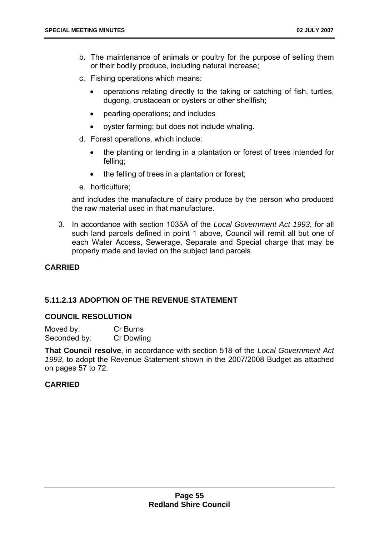- b. The maintenance of animals or poultry for the purpose of selling them or their bodily produce, including natural increase;
- c. Fishing operations which means:
	- operations relating directly to the taking or catching of fish, turtles, dugong, crustacean or oysters or other shellfish;
	- pearling operations; and includes
	- oyster farming; but does not include whaling.
- d. Forest operations, which include:
	- the planting or tending in a plantation or forest of trees intended for felling;
	- the felling of trees in a plantation or forest;
- e. horticulture;

and includes the manufacture of dairy produce by the person who produced the raw material used in that manufacture.

3. In accordance with section 1035A of the *Local Government Act 1993*, for all such land parcels defined in point 1 above, Council will remit all but one of each Water Access, Sewerage, Separate and Special charge that may be properly made and levied on the subject land parcels.

# **CARRIED**

# **5.11.2.13 ADOPTION OF THE REVENUE STATEMENT**

# **COUNCIL RESOLUTION**

| Moved by:    | Cr Burns   |
|--------------|------------|
| Seconded by: | Cr Dowling |

**That Council resolve**, in accordance with section 518 of the *Local Government Act 1993*, to adopt the Revenue Statement shown in the 2007/2008 Budget as attached on pages 57 to 72.

# **CARRIED**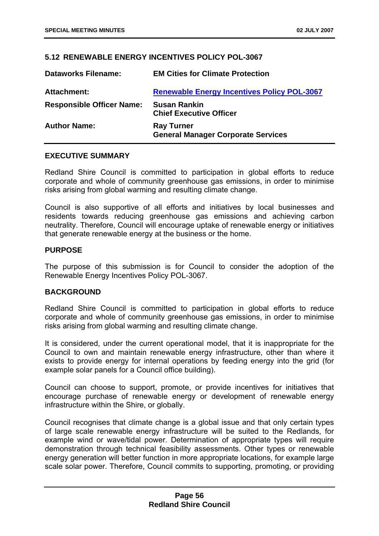# **5.12 RENEWABLE ENERGY INCENTIVES POLICY POL-3067**

| <b>Dataworks Filename:</b>       | <b>EM Cities for Climate Protection</b>                        |
|----------------------------------|----------------------------------------------------------------|
| <b>Attachment:</b>               | <b>Renewable Energy Incentives Policy POL-3067</b>             |
| <b>Responsible Officer Name:</b> | <b>Susan Rankin</b><br><b>Chief Executive Officer</b>          |
| <b>Author Name:</b>              | <b>Ray Turner</b><br><b>General Manager Corporate Services</b> |

# **EXECUTIVE SUMMARY**

Redland Shire Council is committed to participation in global efforts to reduce corporate and whole of community greenhouse gas emissions, in order to minimise risks arising from global warming and resulting climate change.

Council is also supportive of all efforts and initiatives by local businesses and residents towards reducing greenhouse gas emissions and achieving carbon neutrality. Therefore, Council will encourage uptake of renewable energy or initiatives that generate renewable energy at the business or the home.

# **PURPOSE**

The purpose of this submission is for Council to consider the adoption of the Renewable Energy Incentives Policy POL-3067.

# **BACKGROUND**

Redland Shire Council is committed to participation in global efforts to reduce corporate and whole of community greenhouse gas emissions, in order to minimise risks arising from global warming and resulting climate change.

It is considered, under the current operational model, that it is inappropriate for the Council to own and maintain renewable energy infrastructure, other than where it exists to provide energy for internal operations by feeding energy into the grid (for example solar panels for a Council office building).

Council can choose to support, promote, or provide incentives for initiatives that encourage purchase of renewable energy or development of renewable energy infrastructure within the Shire, or globally.

Council recognises that climate change is a global issue and that only certain types of large scale renewable energy infrastructure will be suited to the Redlands, for example wind or wave/tidal power. Determination of appropriate types will require demonstration through technical feasibility assessments. Other types or renewable energy generation will better function in more appropriate locations, for example large scale solar power. Therefore, Council commits to supporting, promoting, or providing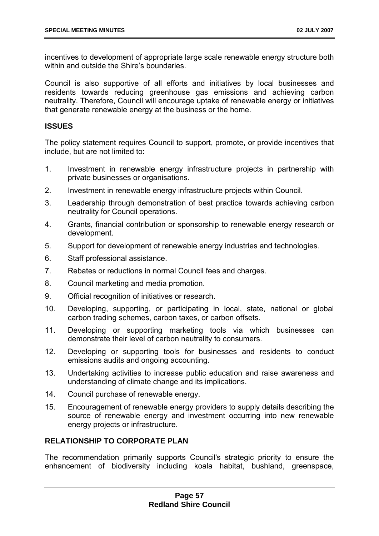incentives to development of appropriate large scale renewable energy structure both within and outside the Shire's boundaries.

Council is also supportive of all efforts and initiatives by local businesses and residents towards reducing greenhouse gas emissions and achieving carbon neutrality. Therefore, Council will encourage uptake of renewable energy or initiatives that generate renewable energy at the business or the home.

# **ISSUES**

The policy statement requires Council to support, promote, or provide incentives that include, but are not limited to:

- 1. Investment in renewable energy infrastructure projects in partnership with private businesses or organisations.
- 2. Investment in renewable energy infrastructure projects within Council.
- 3. Leadership through demonstration of best practice towards achieving carbon neutrality for Council operations.
- 4. Grants, financial contribution or sponsorship to renewable energy research or development.
- 5. Support for development of renewable energy industries and technologies.
- 6. Staff professional assistance.
- 7. Rebates or reductions in normal Council fees and charges.
- 8. Council marketing and media promotion.
- 9. Official recognition of initiatives or research.
- 10. Developing, supporting, or participating in local, state, national or global carbon trading schemes, carbon taxes, or carbon offsets.
- 11. Developing or supporting marketing tools via which businesses can demonstrate their level of carbon neutrality to consumers.
- 12. Developing or supporting tools for businesses and residents to conduct emissions audits and ongoing accounting.
- 13. Undertaking activities to increase public education and raise awareness and understanding of climate change and its implications.
- 14. Council purchase of renewable energy.
- 15. Encouragement of renewable energy providers to supply details describing the source of renewable energy and investment occurring into new renewable energy projects or infrastructure.

# **RELATIONSHIP TO CORPORATE PLAN**

The recommendation primarily supports Council's strategic priority to ensure the enhancement of biodiversity including koala habitat, bushland, greenspace,